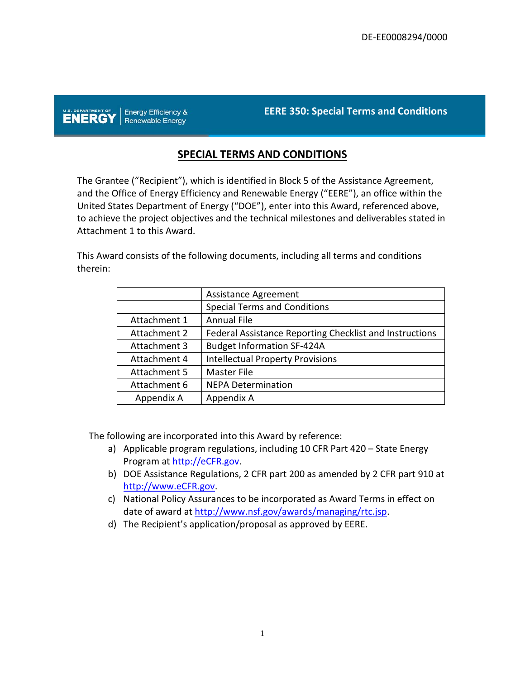U.S. DEPARTMENT OF | Energy Efficiency &

**EERE 350: Special Terms and Conditions**

# **SPECIAL TERMS AND CONDITIONS**

The Grantee ("Recipient"), which is identified in Block 5 of the Assistance Agreement, and the Office of Energy Efficiency and Renewable Energy ("EERE"), an office within the United States Department of Energy ("DOE"), enter into this Award, referenced above, to achieve the project objectives and the technical milestones and deliverables stated in Attachment 1 to this Award.

This Award consists of the following documents, including all terms and conditions therein:

|              | <b>Assistance Agreement</b>                             |  |  |  |  |
|--------------|---------------------------------------------------------|--|--|--|--|
|              | <b>Special Terms and Conditions</b>                     |  |  |  |  |
| Attachment 1 | <b>Annual File</b>                                      |  |  |  |  |
| Attachment 2 | Federal Assistance Reporting Checklist and Instructions |  |  |  |  |
| Attachment 3 | <b>Budget Information SF-424A</b>                       |  |  |  |  |
| Attachment 4 | <b>Intellectual Property Provisions</b>                 |  |  |  |  |
| Attachment 5 | <b>Master File</b>                                      |  |  |  |  |
| Attachment 6 | <b>NEPA Determination</b>                               |  |  |  |  |
| Appendix A   | Appendix A                                              |  |  |  |  |

The following are incorporated into this Award by reference:

- a) Applicable program regulations, including 10 CFR Part 420 State Energy Program at [http://eCFR.gov.](http://ecfr.gov/)
- b) DOE Assistance Regulations, 2 CFR part 200 as amended by 2 CFR part 910 at [http://www.eCFR.gov.](http://www.ecfr.gov/)
- c) National Policy Assurances to be incorporated as Award Terms in effect on date of award at [http://www.nsf.gov/awards/managing/rtc.jsp.](http://www.nsf.gov/awards/managing/rtc.jsp)
- d) The Recipient's application/proposal as approved by EERE.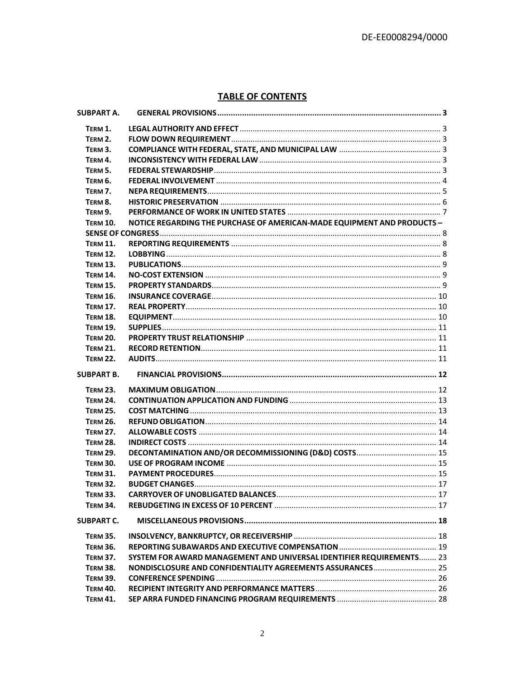# **TABLE OF CONTENTS**

| TERM 1.<br>TERM 2.<br>TERM 3.<br>TERM 4.<br>TERM 5.<br><b>TERM 6.</b><br>TERM 7.<br>TERM 8.<br>TERM 9.<br>NOTICE REGARDING THE PURCHASE OF AMERICAN-MADE EQUIPMENT AND PRODUCTS -<br><b>TERM 10.</b><br><b>TERM 11.</b><br><b>TERM 12.</b><br><b>TERM 13.</b><br><b>TERM 14.</b><br><b>TERM 15.</b><br><b>TERM 16.</b><br><b>TERM 17.</b><br><b>TERM 18.</b><br><b>TERM 19.</b><br><b>TERM 20.</b><br><b>TERM 21.</b><br><b>TERM 22.</b><br><b>TERM 23.</b><br><b>TERM 24.</b><br><b>TERM 25.</b><br><b>TERM 26.</b><br><b>TERM 27.</b><br><b>TERM 28.</b><br><b>TERM 29.</b><br><b>TERM 30.</b><br><b>TERM 31.</b><br><b>TERM 32.</b><br><b>TERM 33.</b><br><b>TERM 34.</b><br><b>SUBPART C.</b><br><b>TERM 35.</b><br><b>TERM 36.</b><br>SYSTEM FOR AWARD MANAGEMENT AND UNIVERSAL IDENTIFIER REQUIREMENTS 23<br><b>TERM 37.</b><br>NONDISCLOSURE AND CONFIDENTIALITY AGREEMENTS ASSURANCES  25<br><b>TERM 38.</b><br><b>TERM 39.</b><br><b>TERM 40.</b><br><b>TERM 41.</b> | <b>SUBPART A.</b> |  |
|-------------------------------------------------------------------------------------------------------------------------------------------------------------------------------------------------------------------------------------------------------------------------------------------------------------------------------------------------------------------------------------------------------------------------------------------------------------------------------------------------------------------------------------------------------------------------------------------------------------------------------------------------------------------------------------------------------------------------------------------------------------------------------------------------------------------------------------------------------------------------------------------------------------------------------------------------------------------------------|-------------------|--|
|                                                                                                                                                                                                                                                                                                                                                                                                                                                                                                                                                                                                                                                                                                                                                                                                                                                                                                                                                                               |                   |  |
|                                                                                                                                                                                                                                                                                                                                                                                                                                                                                                                                                                                                                                                                                                                                                                                                                                                                                                                                                                               |                   |  |
|                                                                                                                                                                                                                                                                                                                                                                                                                                                                                                                                                                                                                                                                                                                                                                                                                                                                                                                                                                               |                   |  |
|                                                                                                                                                                                                                                                                                                                                                                                                                                                                                                                                                                                                                                                                                                                                                                                                                                                                                                                                                                               |                   |  |
|                                                                                                                                                                                                                                                                                                                                                                                                                                                                                                                                                                                                                                                                                                                                                                                                                                                                                                                                                                               |                   |  |
|                                                                                                                                                                                                                                                                                                                                                                                                                                                                                                                                                                                                                                                                                                                                                                                                                                                                                                                                                                               |                   |  |
|                                                                                                                                                                                                                                                                                                                                                                                                                                                                                                                                                                                                                                                                                                                                                                                                                                                                                                                                                                               |                   |  |
|                                                                                                                                                                                                                                                                                                                                                                                                                                                                                                                                                                                                                                                                                                                                                                                                                                                                                                                                                                               |                   |  |
|                                                                                                                                                                                                                                                                                                                                                                                                                                                                                                                                                                                                                                                                                                                                                                                                                                                                                                                                                                               |                   |  |
|                                                                                                                                                                                                                                                                                                                                                                                                                                                                                                                                                                                                                                                                                                                                                                                                                                                                                                                                                                               |                   |  |
|                                                                                                                                                                                                                                                                                                                                                                                                                                                                                                                                                                                                                                                                                                                                                                                                                                                                                                                                                                               |                   |  |
|                                                                                                                                                                                                                                                                                                                                                                                                                                                                                                                                                                                                                                                                                                                                                                                                                                                                                                                                                                               |                   |  |
|                                                                                                                                                                                                                                                                                                                                                                                                                                                                                                                                                                                                                                                                                                                                                                                                                                                                                                                                                                               |                   |  |
|                                                                                                                                                                                                                                                                                                                                                                                                                                                                                                                                                                                                                                                                                                                                                                                                                                                                                                                                                                               |                   |  |
|                                                                                                                                                                                                                                                                                                                                                                                                                                                                                                                                                                                                                                                                                                                                                                                                                                                                                                                                                                               |                   |  |
|                                                                                                                                                                                                                                                                                                                                                                                                                                                                                                                                                                                                                                                                                                                                                                                                                                                                                                                                                                               |                   |  |
|                                                                                                                                                                                                                                                                                                                                                                                                                                                                                                                                                                                                                                                                                                                                                                                                                                                                                                                                                                               |                   |  |
|                                                                                                                                                                                                                                                                                                                                                                                                                                                                                                                                                                                                                                                                                                                                                                                                                                                                                                                                                                               |                   |  |
|                                                                                                                                                                                                                                                                                                                                                                                                                                                                                                                                                                                                                                                                                                                                                                                                                                                                                                                                                                               |                   |  |
|                                                                                                                                                                                                                                                                                                                                                                                                                                                                                                                                                                                                                                                                                                                                                                                                                                                                                                                                                                               |                   |  |
|                                                                                                                                                                                                                                                                                                                                                                                                                                                                                                                                                                                                                                                                                                                                                                                                                                                                                                                                                                               |                   |  |
|                                                                                                                                                                                                                                                                                                                                                                                                                                                                                                                                                                                                                                                                                                                                                                                                                                                                                                                                                                               |                   |  |
|                                                                                                                                                                                                                                                                                                                                                                                                                                                                                                                                                                                                                                                                                                                                                                                                                                                                                                                                                                               |                   |  |
|                                                                                                                                                                                                                                                                                                                                                                                                                                                                                                                                                                                                                                                                                                                                                                                                                                                                                                                                                                               | <b>SUBPART B.</b> |  |
|                                                                                                                                                                                                                                                                                                                                                                                                                                                                                                                                                                                                                                                                                                                                                                                                                                                                                                                                                                               |                   |  |
|                                                                                                                                                                                                                                                                                                                                                                                                                                                                                                                                                                                                                                                                                                                                                                                                                                                                                                                                                                               |                   |  |
|                                                                                                                                                                                                                                                                                                                                                                                                                                                                                                                                                                                                                                                                                                                                                                                                                                                                                                                                                                               |                   |  |
|                                                                                                                                                                                                                                                                                                                                                                                                                                                                                                                                                                                                                                                                                                                                                                                                                                                                                                                                                                               |                   |  |
|                                                                                                                                                                                                                                                                                                                                                                                                                                                                                                                                                                                                                                                                                                                                                                                                                                                                                                                                                                               |                   |  |
|                                                                                                                                                                                                                                                                                                                                                                                                                                                                                                                                                                                                                                                                                                                                                                                                                                                                                                                                                                               |                   |  |
|                                                                                                                                                                                                                                                                                                                                                                                                                                                                                                                                                                                                                                                                                                                                                                                                                                                                                                                                                                               |                   |  |
|                                                                                                                                                                                                                                                                                                                                                                                                                                                                                                                                                                                                                                                                                                                                                                                                                                                                                                                                                                               |                   |  |
|                                                                                                                                                                                                                                                                                                                                                                                                                                                                                                                                                                                                                                                                                                                                                                                                                                                                                                                                                                               |                   |  |
|                                                                                                                                                                                                                                                                                                                                                                                                                                                                                                                                                                                                                                                                                                                                                                                                                                                                                                                                                                               |                   |  |
|                                                                                                                                                                                                                                                                                                                                                                                                                                                                                                                                                                                                                                                                                                                                                                                                                                                                                                                                                                               |                   |  |
|                                                                                                                                                                                                                                                                                                                                                                                                                                                                                                                                                                                                                                                                                                                                                                                                                                                                                                                                                                               |                   |  |
|                                                                                                                                                                                                                                                                                                                                                                                                                                                                                                                                                                                                                                                                                                                                                                                                                                                                                                                                                                               |                   |  |
|                                                                                                                                                                                                                                                                                                                                                                                                                                                                                                                                                                                                                                                                                                                                                                                                                                                                                                                                                                               |                   |  |
|                                                                                                                                                                                                                                                                                                                                                                                                                                                                                                                                                                                                                                                                                                                                                                                                                                                                                                                                                                               |                   |  |
|                                                                                                                                                                                                                                                                                                                                                                                                                                                                                                                                                                                                                                                                                                                                                                                                                                                                                                                                                                               |                   |  |
|                                                                                                                                                                                                                                                                                                                                                                                                                                                                                                                                                                                                                                                                                                                                                                                                                                                                                                                                                                               |                   |  |
|                                                                                                                                                                                                                                                                                                                                                                                                                                                                                                                                                                                                                                                                                                                                                                                                                                                                                                                                                                               |                   |  |
|                                                                                                                                                                                                                                                                                                                                                                                                                                                                                                                                                                                                                                                                                                                                                                                                                                                                                                                                                                               |                   |  |
|                                                                                                                                                                                                                                                                                                                                                                                                                                                                                                                                                                                                                                                                                                                                                                                                                                                                                                                                                                               |                   |  |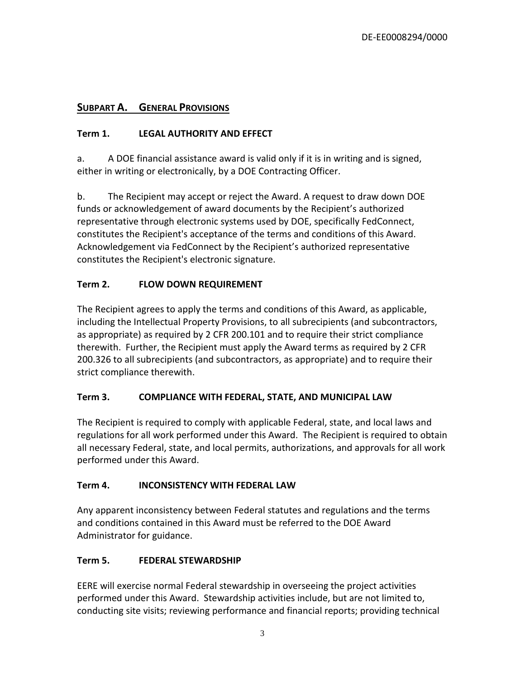# <span id="page-2-0"></span>**SUBPART A. GENERAL PROVISIONS**

# <span id="page-2-1"></span>**Term 1. LEGAL AUTHORITY AND EFFECT**

a. A DOE financial assistance award is valid only if it is in writing and is signed, either in writing or electronically, by a DOE Contracting Officer.

b. The Recipient may accept or reject the Award. A request to draw down DOE funds or acknowledgement of award documents by the Recipient's authorized representative through electronic systems used by DOE, specifically FedConnect, constitutes the Recipient's acceptance of the terms and conditions of this Award. Acknowledgement via FedConnect by the Recipient's authorized representative constitutes the Recipient's electronic signature.

# <span id="page-2-2"></span>**Term 2. FLOW DOWN REQUIREMENT**

The Recipient agrees to apply the terms and conditions of this Award, as applicable, including the Intellectual Property Provisions, to all subrecipients (and subcontractors, as appropriate) as required by 2 CFR 200.101 and to require their strict compliance therewith. Further, the Recipient must apply the Award terms as required by 2 CFR 200.326 to all subrecipients (and subcontractors, as appropriate) and to require their strict compliance therewith.

## <span id="page-2-3"></span>**Term 3. COMPLIANCE WITH FEDERAL, STATE, AND MUNICIPAL LAW**

The Recipient is required to comply with applicable Federal, state, and local laws and regulations for all work performed under this Award. The Recipient is required to obtain all necessary Federal, state, and local permits, authorizations, and approvals for all work performed under this Award.

## <span id="page-2-4"></span>**Term 4. INCONSISTENCY WITH FEDERAL LAW**

Any apparent inconsistency between Federal statutes and regulations and the terms and conditions contained in this Award must be referred to the DOE Award Administrator for guidance.

## <span id="page-2-5"></span>**Term 5. FEDERAL STEWARDSHIP**

EERE will exercise normal Federal stewardship in overseeing the project activities performed under this Award. Stewardship activities include, but are not limited to, conducting site visits; reviewing performance and financial reports; providing technical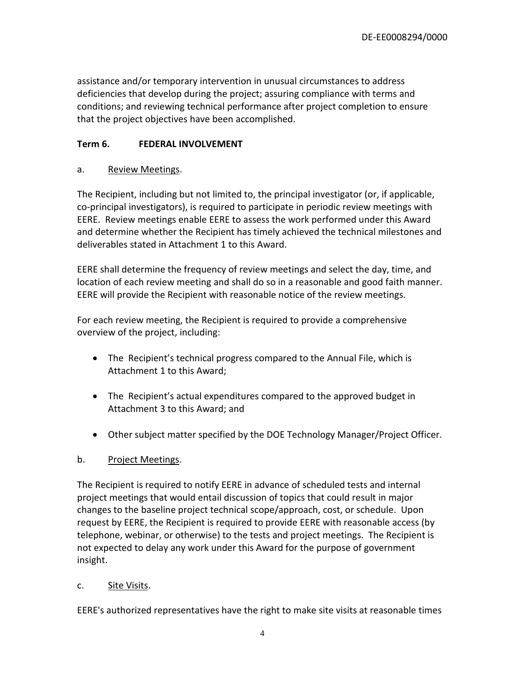assistance and/or temporary intervention in unusual circumstances to address deficiencies that develop during the project; assuring compliance with terms and conditions; and reviewing technical performance after project completion to ensure that the project objectives have been accomplished.

# <span id="page-3-0"></span>**Term 6. FEDERAL INVOLVEMENT**

#### a. Review Meetings.

The Recipient, including but not limited to, the principal investigator (or, if applicable, co-principal investigators), is required to participate in periodic review meetings with EERE. Review meetings enable EERE to assess the work performed under this Award and determine whether the Recipient has timely achieved the technical milestones and deliverables stated in Attachment 1 to this Award.

EERE shall determine the frequency of review meetings and select the day, time, and location of each review meeting and shall do so in a reasonable and good faith manner. EERE will provide the Recipient with reasonable notice of the review meetings.

For each review meeting, the Recipient is required to provide a comprehensive overview of the project, including:

- The Recipient's technical progress compared to the Annual File, which is Attachment 1 to this Award;
- The Recipient's actual expenditures compared to the approved budget in Attachment 3 to this Award; and
- Other subject matter specified by the DOE Technology Manager/Project Officer.

## b. Project Meetings.

The Recipient is required to notify EERE in advance of scheduled tests and internal project meetings that would entail discussion of topics that could result in major changes to the baseline project technical scope/approach, cost, or schedule. Upon request by EERE, the Recipient is required to provide EERE with reasonable access (by telephone, webinar, or otherwise) to the tests and project meetings. The Recipient is not expected to delay any work under this Award for the purpose of government insight.

## c. Site Visits.

EERE's authorized representatives have the right to make site visits at reasonable times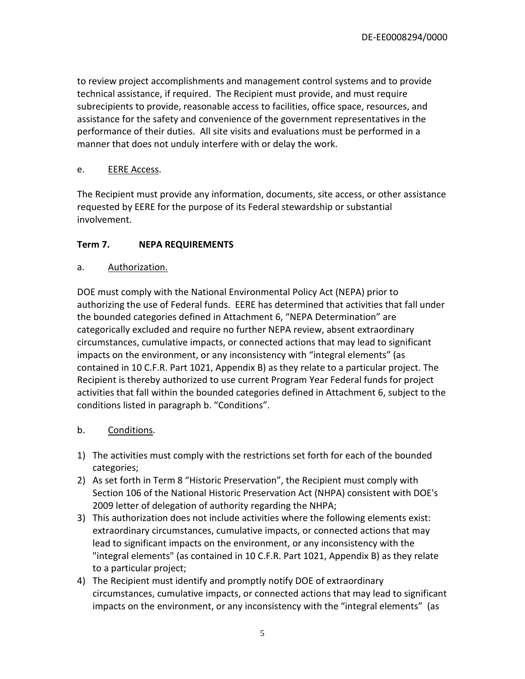to review project accomplishments and management control systems and to provide technical assistance, if required. The Recipient must provide, and must require subrecipients to provide, reasonable access to facilities, office space, resources, and assistance for the safety and convenience of the government representatives in the performance of their duties. All site visits and evaluations must be performed in a manner that does not unduly interfere with or delay the work.

## e. **EERE Access.**

The Recipient must provide any information, documents, site access, or other assistance requested by EERE for the purpose of its Federal stewardship or substantial involvement.

## <span id="page-4-0"></span>**Term 7. NEPA REQUIREMENTS**

## a. Authorization.

DOE must comply with the National Environmental Policy Act (NEPA) prior to authorizing the use of Federal funds. EERE has determined that activities that fall under the bounded categories defined in Attachment 6, "NEPA Determination" are categorically excluded and require no further NEPA review, absent extraordinary circumstances, cumulative impacts, or connected actions that may lead to significant impacts on the environment, or any inconsistency with "integral elements" (as contained in 10 C.F.R. Part 1021, Appendix B) as they relate to a particular project. The Recipient is thereby authorized to use current Program Year Federal funds for project activities that fall within the bounded categories defined in Attachment 6, subject to the conditions listed in paragraph b. "Conditions".

# b. Conditions.

- 1) The activities must comply with the restrictions set forth for each of the bounded categories;
- 2) As set forth in Term 8 "Historic Preservation", the Recipient must comply with Section 106 of the National Historic Preservation Act (NHPA) consistent with DOE's 2009 letter of delegation of authority regarding the NHPA;
- 3) This authorization does not include activities where the following elements exist: extraordinary circumstances, cumulative impacts, or connected actions that may lead to significant impacts on the environment, or any inconsistency with the "integral elements" (as contained in 10 C.F.R. Part 1021, Appendix B) as they relate to a particular project;
- 4) The Recipient must identify and promptly notify DOE of extraordinary circumstances, cumulative impacts, or connected actions that may lead to significant impacts on the environment, or any inconsistency with the "integral elements" (as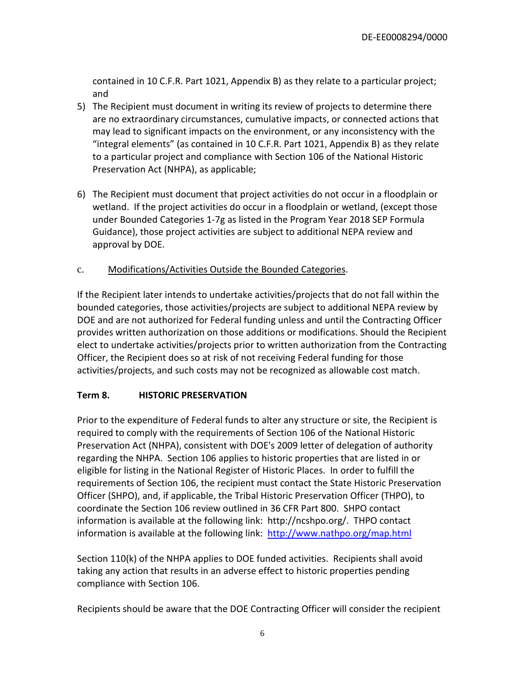contained in 10 C.F.R. Part 1021, Appendix B) as they relate to a particular project; and

- 5) The Recipient must document in writing its review of projects to determine there are no extraordinary circumstances, cumulative impacts, or connected actions that may lead to significant impacts on the environment, or any inconsistency with the "integral elements" (as contained in 10 C.F.R. Part 1021, Appendix B) as they relate to a particular project and compliance with Section 106 of the National Historic Preservation Act (NHPA), as applicable;
- 6) The Recipient must document that project activities do not occur in a floodplain or wetland. If the project activities do occur in a floodplain or wetland, (except those under Bounded Categories 1-7g as listed in the Program Year 2018 SEP Formula Guidance), those project activities are subject to additional NEPA review and approval by DOE.
- c. Modifications/Activities Outside the Bounded Categories.

If the Recipient later intends to undertake activities/projects that do not fall within the bounded categories, those activities/projects are subject to additional NEPA review by DOE and are not authorized for Federal funding unless and until the Contracting Officer provides written authorization on those additions or modifications. Should the Recipient elect to undertake activities/projects prior to written authorization from the Contracting Officer, the Recipient does so at risk of not receiving Federal funding for those activities/projects, and such costs may not be recognized as allowable cost match.

## <span id="page-5-0"></span>**Term 8. HISTORIC PRESERVATION**

Prior to the expenditure of Federal funds to alter any structure or site, the Recipient is required to comply with the requirements of Section 106 of the National Historic Preservation Act (NHPA), consistent with DOE's 2009 letter of delegation of authority regarding the NHPA. Section 106 applies to historic properties that are listed in or eligible for listing in the National Register of Historic Places. In order to fulfill the requirements of Section 106, the recipient must contact the State Historic Preservation Officer (SHPO), and, if applicable, the Tribal Historic Preservation Officer (THPO), to coordinate the Section 106 review outlined in 36 CFR Part 800. SHPO contact information is available at the following link: http://ncshpo.org/. THPO contact information is available at the following link: <http://www.nathpo.org/map.html>

Section 110(k) of the NHPA applies to DOE funded activities. Recipients shall avoid taking any action that results in an adverse effect to historic properties pending compliance with Section 106.

Recipients should be aware that the DOE Contracting Officer will consider the recipient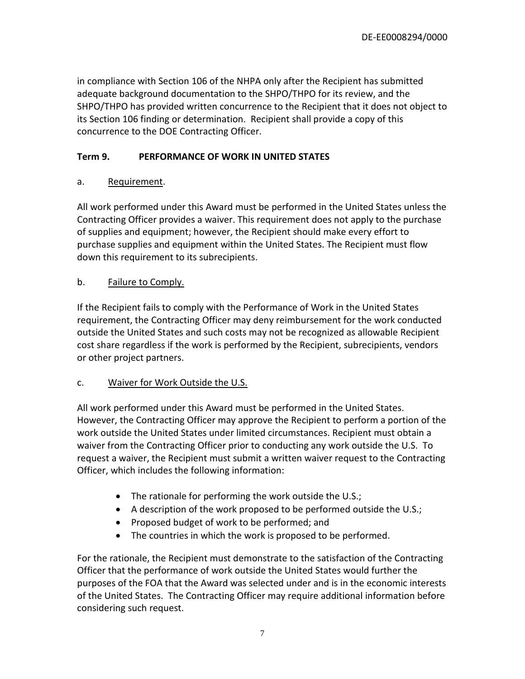in compliance with Section 106 of the NHPA only after the Recipient has submitted adequate background documentation to the SHPO/THPO for its review, and the SHPO/THPO has provided written concurrence to the Recipient that it does not object to its Section 106 finding or determination. Recipient shall provide a copy of this concurrence to the DOE Contracting Officer.

# <span id="page-6-0"></span>**Term 9. PERFORMANCE OF WORK IN UNITED STATES**

## a. Requirement.

All work performed under this Award must be performed in the United States unless the Contracting Officer provides a waiver. This requirement does not apply to the purchase of supplies and equipment; however, the Recipient should make every effort to purchase supplies and equipment within the United States. The Recipient must flow down this requirement to its subrecipients.

#### b. Failure to Comply.

If the Recipient fails to comply with the Performance of Work in the United States requirement, the Contracting Officer may deny reimbursement for the work conducted outside the United States and such costs may not be recognized as allowable Recipient cost share regardless if the work is performed by the Recipient, subrecipients, vendors or other project partners.

## c. Waiver for Work Outside the U.S.

All work performed under this Award must be performed in the United States. However, the Contracting Officer may approve the Recipient to perform a portion of the work outside the United States under limited circumstances. Recipient must obtain a waiver from the Contracting Officer prior to conducting any work outside the U.S. To request a waiver, the Recipient must submit a written waiver request to the Contracting Officer, which includes the following information:

- The rationale for performing the work outside the U.S.;
- A description of the work proposed to be performed outside the U.S.;
- Proposed budget of work to be performed; and
- The countries in which the work is proposed to be performed.

For the rationale, the Recipient must demonstrate to the satisfaction of the Contracting Officer that the performance of work outside the United States would further the purposes of the FOA that the Award was selected under and is in the economic interests of the United States. The Contracting Officer may require additional information before considering such request.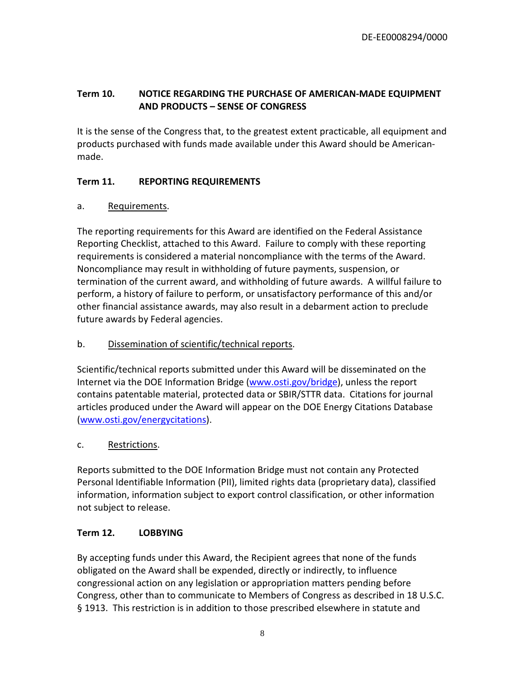# <span id="page-7-0"></span>**Term 10. NOTICE REGARDING THE PURCHASE OF AMERICAN-MADE EQUIPMENT AND PRODUCTS – SENSE OF CONGRESS**

It is the sense of the Congress that, to the greatest extent practicable, all equipment and products purchased with funds made available under this Award should be Americanmade.

# <span id="page-7-1"></span>**Term 11. REPORTING REQUIREMENTS**

# a. Requirements.

The reporting requirements for this Award are identified on the Federal Assistance Reporting Checklist, attached to this Award. Failure to comply with these reporting requirements is considered a material noncompliance with the terms of the Award. Noncompliance may result in withholding of future payments, suspension, or termination of the current award, and withholding of future awards. A willful failure to perform, a history of failure to perform, or unsatisfactory performance of this and/or other financial assistance awards, may also result in a debarment action to preclude future awards by Federal agencies.

# b. Dissemination of scientific/technical reports.

Scientific/technical reports submitted under this Award will be disseminated on the Internet via the DOE Information Bridge [\(www.osti.gov/bridge\)](http://www.osti.gov/bridge), unless the report contains patentable material, protected data or SBIR/STTR data. Citations for journal articles produced under the Award will appear on the DOE Energy Citations Database [\(www.osti.gov/energycitations\)](http://www.osti.gov/energycitations).

# c. Restrictions.

Reports submitted to the DOE Information Bridge must not contain any Protected Personal Identifiable Information (PII), limited rights data (proprietary data), classified information, information subject to export control classification, or other information not subject to release.

# <span id="page-7-2"></span>**Term 12. LOBBYING**

By accepting funds under this Award, the Recipient agrees that none of the funds obligated on the Award shall be expended, directly or indirectly, to influence congressional action on any legislation or appropriation matters pending before Congress, other than to communicate to Members of Congress as described in 18 U.S.C. § 1913. This restriction is in addition to those prescribed elsewhere in statute and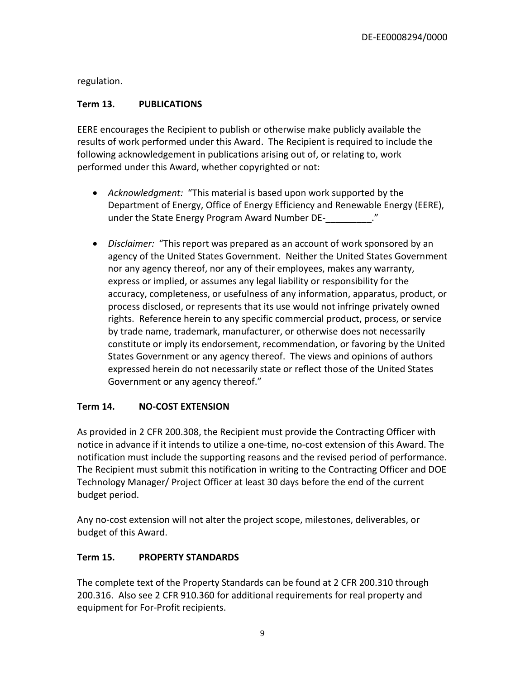regulation.

# <span id="page-8-0"></span>**Term 13. PUBLICATIONS**

EERE encourages the Recipient to publish or otherwise make publicly available the results of work performed under this Award. The Recipient is required to include the following acknowledgement in publications arising out of, or relating to, work performed under this Award, whether copyrighted or not:

- *Acknowledgment:* "This material is based upon work supported by the Department of Energy, Office of Energy Efficiency and Renewable Energy (EERE), under the State Energy Program Award Number DE-<br>
...
- *Disclaimer:* "This report was prepared as an account of work sponsored by an agency of the United States Government. Neither the United States Government nor any agency thereof, nor any of their employees, makes any warranty, express or implied, or assumes any legal liability or responsibility for the accuracy, completeness, or usefulness of any information, apparatus, product, or process disclosed, or represents that its use would not infringe privately owned rights. Reference herein to any specific commercial product, process, or service by trade name, trademark, manufacturer, or otherwise does not necessarily constitute or imply its endorsement, recommendation, or favoring by the United States Government or any agency thereof. The views and opinions of authors expressed herein do not necessarily state or reflect those of the United States Government or any agency thereof."

## <span id="page-8-1"></span>**Term 14. NO-COST EXTENSION**

As provided in 2 CFR 200.308, the Recipient must provide the Contracting Officer with notice in advance if it intends to utilize a one-time, no-cost extension of this Award. The notification must include the supporting reasons and the revised period of performance. The Recipient must submit this notification in writing to the Contracting Officer and DOE Technology Manager/ Project Officer at least 30 days before the end of the current budget period.

Any no-cost extension will not alter the project scope, milestones, deliverables, or budget of this Award.

## <span id="page-8-2"></span>**Term 15. PROPERTY STANDARDS**

The complete text of the Property Standards can be found at 2 CFR 200.310 through 200.316. Also see 2 CFR 910.360 for additional requirements for real property and equipment for For-Profit recipients.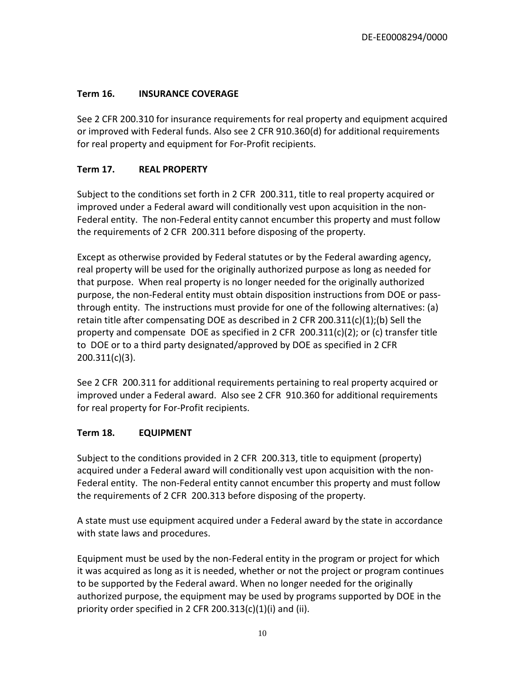# <span id="page-9-0"></span>**Term 16. INSURANCE COVERAGE**

See 2 CFR 200.310 for insurance requirements for real property and equipment acquired or improved with Federal funds. Also see 2 CFR 910.360(d) for additional requirements for real property and equipment for For-Profit recipients.

# <span id="page-9-1"></span>**Term 17. REAL PROPERTY**

Subject to the conditions set forth in 2 CFR 200.311, title to real property acquired or improved under a Federal award will conditionally vest upon acquisition in the non-Federal entity. The non-Federal entity cannot encumber this property and must follow the requirements of 2 CFR 200.311 before disposing of the property.

Except as otherwise provided by Federal statutes or by the Federal awarding agency, real property will be used for the originally authorized purpose as long as needed for that purpose. When real property is no longer needed for the originally authorized purpose, the non-Federal entity must obtain disposition instructions from DOE or passthrough entity. The instructions must provide for one of the following alternatives: (a) retain title after compensating DOE as described in 2 CFR 200.311(c)(1);(b) Sell the property and compensate DOE as specified in 2 CFR  $200.311(c)(2)$ ; or (c) transfer title to DOE or to a third party designated/approved by DOE as specified in 2 CFR 200.311(c)(3).

See 2 CFR 200.311 for additional requirements pertaining to real property acquired or improved under a Federal award. Also see 2 CFR 910.360 for additional requirements for real property for For-Profit recipients.

## <span id="page-9-2"></span>**Term 18. EQUIPMENT**

Subject to the conditions provided in 2 CFR 200.313, title to equipment (property) acquired under a Federal award will conditionally vest upon acquisition with the non-Federal entity. The non-Federal entity cannot encumber this property and must follow the requirements of 2 CFR 200.313 before disposing of the property.

A state must use equipment acquired under a Federal award by the state in accordance with state laws and procedures.

Equipment must be used by the non-Federal entity in the program or project for which it was acquired as long as it is needed, whether or not the project or program continues to be supported by the Federal award. When no longer needed for the originally authorized purpose, the equipment may be used by programs supported by DOE in the priority order specified in 2 CFR 200.313(c)(1)(i) and (ii).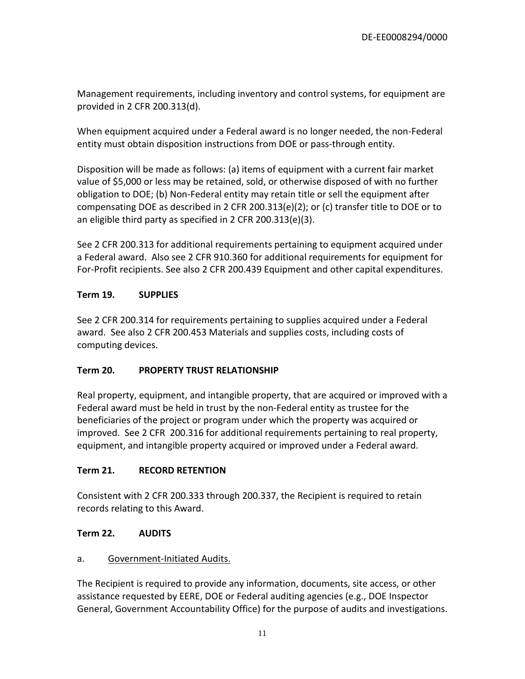Management requirements, including inventory and control systems, for equipment are provided in 2 CFR 200.313(d).

When equipment acquired under a Federal award is no longer needed, the non-Federal entity must obtain disposition instructions from DOE or pass-through entity.

Disposition will be made as follows: (a) items of equipment with a current fair market value of \$5,000 or less may be retained, sold, or otherwise disposed of with no further obligation to DOE; (b) Non-Federal entity may retain title or sell the equipment after compensating DOE as described in 2 CFR 200.313(e)(2); or (c) transfer title to DOE or to an eligible third party as specified in 2 CFR 200.313(e)(3).

See 2 CFR 200.313 for additional requirements pertaining to equipment acquired under a Federal award. Also see 2 CFR 910.360 for additional requirements for equipment for For-Profit recipients. See also 2 CFR 200.439 Equipment and other capital expenditures.

## <span id="page-10-0"></span>**Term 19. SUPPLIES**

See 2 CFR 200.314 for requirements pertaining to supplies acquired under a Federal award. See also 2 CFR 200.453 Materials and supplies costs, including costs of computing devices.

## <span id="page-10-1"></span>**Term 20. PROPERTY TRUST RELATIONSHIP**

Real property, equipment, and intangible property, that are acquired or improved with a Federal award must be held in trust by the non-Federal entity as trustee for the beneficiaries of the project or program under which the property was acquired or improved. See 2 CFR 200.316 for additional requirements pertaining to real property, equipment, and intangible property acquired or improved under a Federal award.

#### <span id="page-10-2"></span>**Term 21. RECORD RETENTION**

Consistent with 2 CFR 200.333 through 200.337, the Recipient is required to retain records relating to this Award.

#### <span id="page-10-3"></span>**Term 22. AUDITS**

## a. Government-Initiated Audits.

The Recipient is required to provide any information, documents, site access, or other assistance requested by EERE, DOE or Federal auditing agencies (e.g., DOE Inspector General, Government Accountability Office) for the purpose of audits and investigations.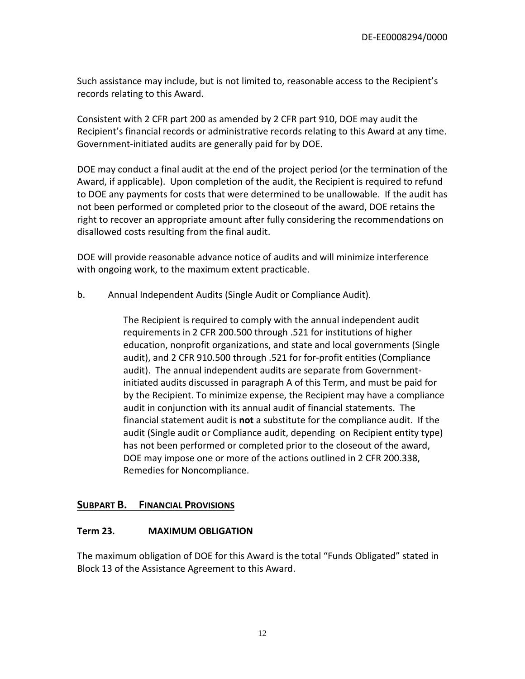Such assistance may include, but is not limited to, reasonable access to the Recipient's records relating to this Award.

Consistent with 2 CFR part 200 as amended by 2 CFR part 910, DOE may audit the Recipient's financial records or administrative records relating to this Award at any time. Government-initiated audits are generally paid for by DOE.

DOE may conduct a final audit at the end of the project period (or the termination of the Award, if applicable). Upon completion of the audit, the Recipient is required to refund to DOE any payments for costs that were determined to be unallowable. If the audit has not been performed or completed prior to the closeout of the award, DOE retains the right to recover an appropriate amount after fully considering the recommendations on disallowed costs resulting from the final audit.

DOE will provide reasonable advance notice of audits and will minimize interference with ongoing work, to the maximum extent practicable.

b. Annual Independent Audits (Single Audit or Compliance Audit).

The Recipient is required to comply with the annual independent audit requirements in 2 CFR 200.500 through .521 for institutions of higher education, nonprofit organizations, and state and local governments (Single audit), and 2 CFR 910.500 through .521 for for-profit entities (Compliance audit). The annual independent audits are separate from Governmentinitiated audits discussed in paragraph A of this Term, and must be paid for by the Recipient. To minimize expense, the Recipient may have a compliance audit in conjunction with its annual audit of financial statements. The financial statement audit is **not** a substitute for the compliance audit. If the audit (Single audit or Compliance audit, depending on Recipient entity type) has not been performed or completed prior to the closeout of the award, DOE may impose one or more of the actions outlined in 2 CFR 200.338, Remedies for Noncompliance.

## <span id="page-11-0"></span>**SUBPART B. FINANCIAL PROVISIONS**

#### <span id="page-11-1"></span>**Term 23. MAXIMUM OBLIGATION**

The maximum obligation of DOE for this Award is the total "Funds Obligated" stated in Block 13 of the Assistance Agreement to this Award.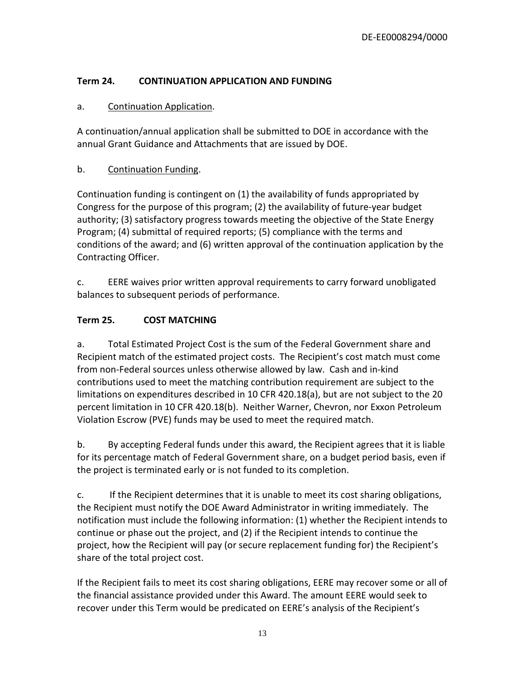# <span id="page-12-0"></span>**Term 24. CONTINUATION APPLICATION AND FUNDING**

# a. Continuation Application.

A continuation/annual application shall be submitted to DOE in accordance with the annual Grant Guidance and Attachments that are issued by DOE.

# b. Continuation Funding.

Continuation funding is contingent on (1) the availability of funds appropriated by Congress for the purpose of this program; (2) the availability of future-year budget authority; (3) satisfactory progress towards meeting the objective of the State Energy Program; (4) submittal of required reports; (5) compliance with the terms and conditions of the award; and (6) written approval of the continuation application by the Contracting Officer.

c. EERE waives prior written approval requirements to carry forward unobligated balances to subsequent periods of performance.

# <span id="page-12-1"></span>**Term 25. COST MATCHING**

a. Total Estimated Project Cost is the sum of the Federal Government share and Recipient match of the estimated project costs. The Recipient's cost match must come from non-Federal sources unless otherwise allowed by law. Cash and in-kind contributions used to meet the matching contribution requirement are subject to the limitations on expenditures described in 10 CFR 420.18(a), but are not subject to the 20 percent limitation in 10 CFR 420.18(b). Neither Warner, Chevron, nor Exxon Petroleum Violation Escrow (PVE) funds may be used to meet the required match.

b. By accepting Federal funds under this award, the Recipient agrees that it is liable for its percentage match of Federal Government share, on a budget period basis, even if the project is terminated early or is not funded to its completion.

c. If the Recipient determines that it is unable to meet its cost sharing obligations, the Recipient must notify the DOE Award Administrator in writing immediately. The notification must include the following information: (1) whether the Recipient intends to continue or phase out the project, and (2) if the Recipient intends to continue the project, how the Recipient will pay (or secure replacement funding for) the Recipient's share of the total project cost.

If the Recipient fails to meet its cost sharing obligations, EERE may recover some or all of the financial assistance provided under this Award. The amount EERE would seek to recover under this Term would be predicated on EERE's analysis of the Recipient's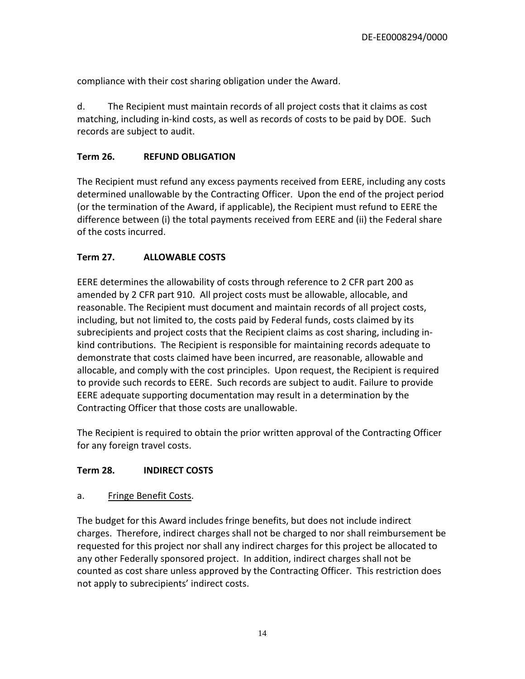compliance with their cost sharing obligation under the Award.

d. The Recipient must maintain records of all project costs that it claims as cost matching, including in-kind costs, as well as records of costs to be paid by DOE. Such records are subject to audit.

#### <span id="page-13-0"></span>**Term 26. REFUND OBLIGATION**

The Recipient must refund any excess payments received from EERE, including any costs determined unallowable by the Contracting Officer. Upon the end of the project period (or the termination of the Award, if applicable), the Recipient must refund to EERE the difference between (i) the total payments received from EERE and (ii) the Federal share of the costs incurred.

## <span id="page-13-1"></span>**Term 27. ALLOWABLE COSTS**

EERE determines the allowability of costs through reference to 2 CFR part 200 as amended by 2 CFR part 910. All project costs must be allowable, allocable, and reasonable. The Recipient must document and maintain records of all project costs, including, but not limited to, the costs paid by Federal funds, costs claimed by its subrecipients and project costs that the Recipient claims as cost sharing, including inkind contributions. The Recipient is responsible for maintaining records adequate to demonstrate that costs claimed have been incurred, are reasonable, allowable and allocable, and comply with the cost principles. Upon request, the Recipient is required to provide such records to EERE. Such records are subject to audit. Failure to provide EERE adequate supporting documentation may result in a determination by the Contracting Officer that those costs are unallowable.

The Recipient is required to obtain the prior written approval of the Contracting Officer for any foreign travel costs.

#### <span id="page-13-2"></span>**Term 28. INDIRECT COSTS**

#### a. Fringe Benefit Costs.

The budget for this Award includes fringe benefits, but does not include indirect charges. Therefore, indirect charges shall not be charged to nor shall reimbursement be requested for this project nor shall any indirect charges for this project be allocated to any other Federally sponsored project. In addition, indirect charges shall not be counted as cost share unless approved by the Contracting Officer. This restriction does not apply to subrecipients' indirect costs.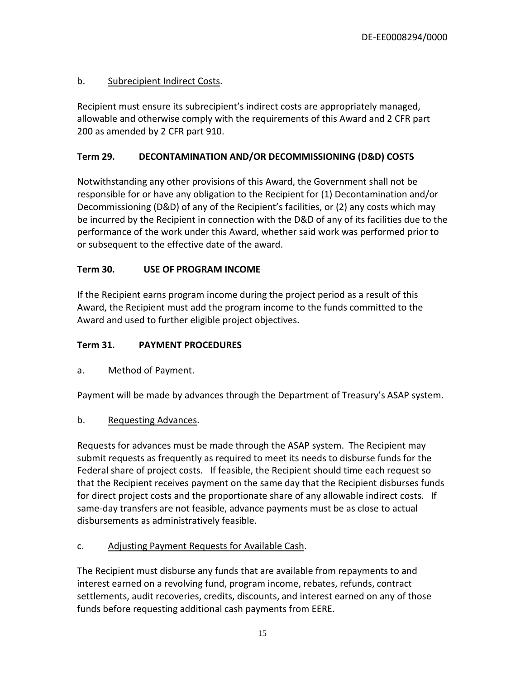# b. Subrecipient Indirect Costs.

Recipient must ensure its subrecipient's indirect costs are appropriately managed, allowable and otherwise comply with the requirements of this Award and 2 CFR part 200 as amended by 2 CFR part 910.

## <span id="page-14-0"></span>**Term 29. DECONTAMINATION AND/OR DECOMMISSIONING (D&D) COSTS**

Notwithstanding any other provisions of this Award, the Government shall not be responsible for or have any obligation to the Recipient for (1) Decontamination and/or Decommissioning (D&D) of any of the Recipient's facilities, or (2) any costs which may be incurred by the Recipient in connection with the D&D of any of its facilities due to the performance of the work under this Award, whether said work was performed prior to or subsequent to the effective date of the award.

# <span id="page-14-1"></span>**Term 30. USE OF PROGRAM INCOME**

If the Recipient earns program income during the project period as a result of this Award, the Recipient must add the program income to the funds committed to the Award and used to further eligible project objectives.

## <span id="page-14-2"></span>**Term 31. PAYMENT PROCEDURES**

## a. Method of Payment.

Payment will be made by advances through the Department of Treasury's ASAP system.

#### b. Requesting Advances.

Requests for advances must be made through the ASAP system. The Recipient may submit requests as frequently as required to meet its needs to disburse funds for the Federal share of project costs. If feasible, the Recipient should time each request so that the Recipient receives payment on the same day that the Recipient disburses funds for direct project costs and the proportionate share of any allowable indirect costs. If same-day transfers are not feasible, advance payments must be as close to actual disbursements as administratively feasible.

## c. Adjusting Payment Requests for Available Cash.

The Recipient must disburse any funds that are available from repayments to and interest earned on a revolving fund, program income, rebates, refunds, contract settlements, audit recoveries, credits, discounts, and interest earned on any of those funds before requesting additional cash payments from EERE.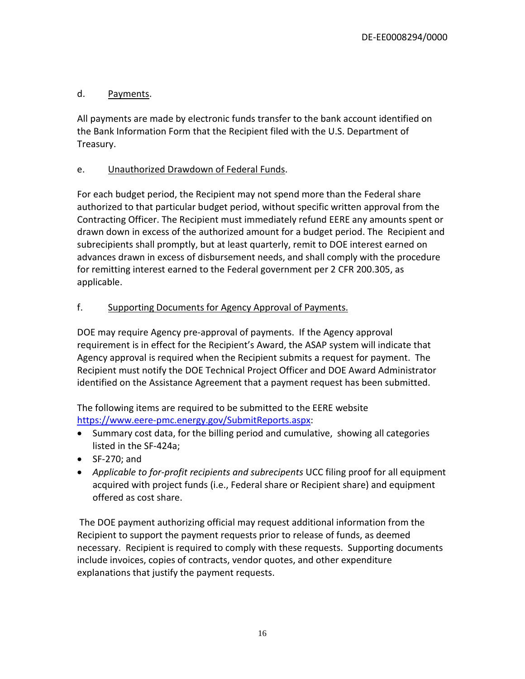# d. Payments.

All payments are made by electronic funds transfer to the bank account identified on the Bank Information Form that the Recipient filed with the U.S. Department of Treasury.

# e. Unauthorized Drawdown of Federal Funds.

For each budget period, the Recipient may not spend more than the Federal share authorized to that particular budget period, without specific written approval from the Contracting Officer. The Recipient must immediately refund EERE any amounts spent or drawn down in excess of the authorized amount for a budget period. The Recipient and subrecipients shall promptly, but at least quarterly, remit to DOE interest earned on advances drawn in excess of disbursement needs, and shall comply with the procedure for remitting interest earned to the Federal government per 2 CFR 200.305, as applicable.

# f. Supporting Documents for Agency Approval of Payments.

DOE may require Agency pre-approval of payments. If the Agency approval requirement is in effect for the Recipient's Award, the ASAP system will indicate that Agency approval is required when the Recipient submits a request for payment. The Recipient must notify the DOE Technical Project Officer and DOE Award Administrator identified on the Assistance Agreement that a payment request has been submitted.

The following items are required to be submitted to the EERE website [https://www.eere-pmc.energy.gov/SubmitReports.aspx:](https://www.eere-pmc.energy.gov/SubmitReports.aspx)

- Summary cost data, for the billing period and cumulative, showing all categories listed in the SF-424a;
- SF-270; and
- *Applicable to for-profit recipients and subrecipents* UCC filing proof for all equipment acquired with project funds (i.e., Federal share or Recipient share) and equipment offered as cost share.

The DOE payment authorizing official may request additional information from the Recipient to support the payment requests prior to release of funds, as deemed necessary. Recipient is required to comply with these requests. Supporting documents include invoices, copies of contracts, vendor quotes, and other expenditure explanations that justify the payment requests.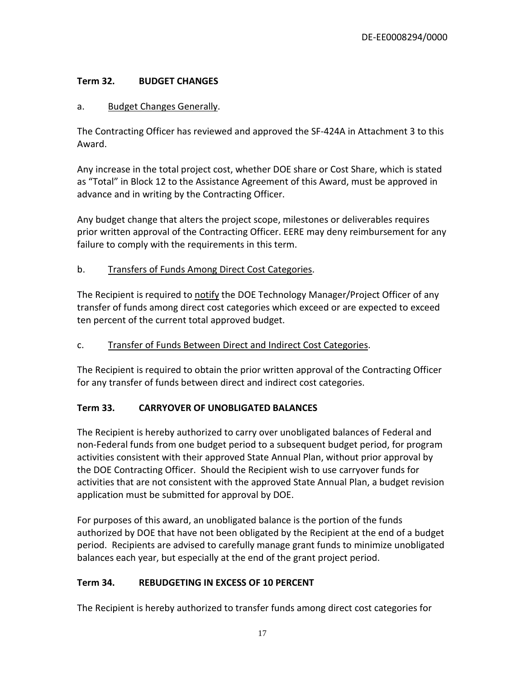# <span id="page-16-0"></span>**Term 32. BUDGET CHANGES**

#### a. Budget Changes Generally.

The Contracting Officer has reviewed and approved the SF-424A in Attachment 3 to this Award.

Any increase in the total project cost, whether DOE share or Cost Share, which is stated as "Total" in Block 12 to the Assistance Agreement of this Award, must be approved in advance and in writing by the Contracting Officer.

Any budget change that alters the project scope, milestones or deliverables requires prior written approval of the Contracting Officer. EERE may deny reimbursement for any failure to comply with the requirements in this term.

## b. Transfers of Funds Among Direct Cost Categories.

The Recipient is required to notify the DOE Technology Manager/Project Officer of any transfer of funds among direct cost categories which exceed or are expected to exceed ten percent of the current total approved budget.

#### c. Transfer of Funds Between Direct and Indirect Cost Categories.

The Recipient is required to obtain the prior written approval of the Contracting Officer for any transfer of funds between direct and indirect cost categories.

## <span id="page-16-1"></span>**Term 33. CARRYOVER OF UNOBLIGATED BALANCES**

The Recipient is hereby authorized to carry over unobligated balances of Federal and non-Federal funds from one budget period to a subsequent budget period, for program activities consistent with their approved State Annual Plan, without prior approval by the DOE Contracting Officer. Should the Recipient wish to use carryover funds for activities that are not consistent with the approved State Annual Plan, a budget revision application must be submitted for approval by DOE.

For purposes of this award, an unobligated balance is the portion of the funds authorized by DOE that have not been obligated by the Recipient at the end of a budget period. Recipients are advised to carefully manage grant funds to minimize unobligated balances each year, but especially at the end of the grant project period.

## <span id="page-16-2"></span>**Term 34. REBUDGETING IN EXCESS OF 10 PERCENT**

The Recipient is hereby authorized to transfer funds among direct cost categories for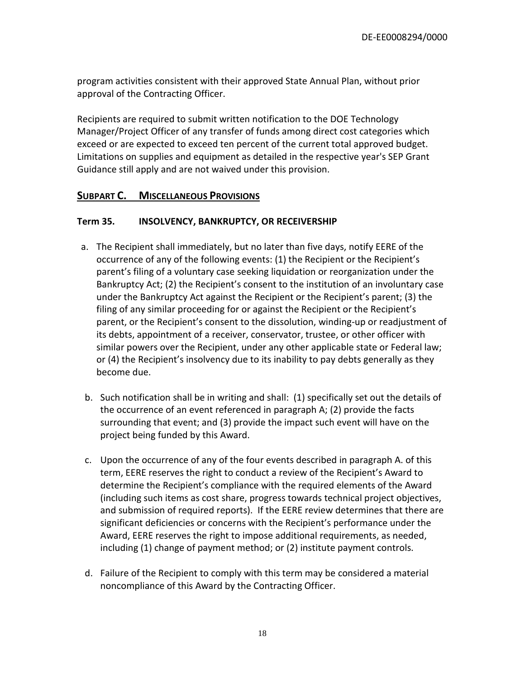program activities consistent with their approved State Annual Plan, without prior approval of the Contracting Officer.

Recipients are required to submit written notification to the DOE Technology Manager/Project Officer of any transfer of funds among direct cost categories which exceed or are expected to exceed ten percent of the current total approved budget. Limitations on supplies and equipment as detailed in the respective year's SEP Grant Guidance still apply and are not waived under this provision.

#### <span id="page-17-0"></span>**SUBPART C. MISCELLANEOUS PROVISIONS**

#### <span id="page-17-1"></span>**Term 35. INSOLVENCY, BANKRUPTCY, OR RECEIVERSHIP**

- a. The Recipient shall immediately, but no later than five days, notify EERE of the occurrence of any of the following events: (1) the Recipient or the Recipient's parent's filing of a voluntary case seeking liquidation or reorganization under the Bankruptcy Act; (2) the Recipient's consent to the institution of an involuntary case under the Bankruptcy Act against the Recipient or the Recipient's parent; (3) the filing of any similar proceeding for or against the Recipient or the Recipient's parent, or the Recipient's consent to the dissolution, winding-up or readjustment of its debts, appointment of a receiver, conservator, trustee, or other officer with similar powers over the Recipient, under any other applicable state or Federal law; or (4) the Recipient's insolvency due to its inability to pay debts generally as they become due.
- b. Such notification shall be in writing and shall: (1) specifically set out the details of the occurrence of an event referenced in paragraph A; (2) provide the facts surrounding that event; and (3) provide the impact such event will have on the project being funded by this Award.
- c. Upon the occurrence of any of the four events described in paragraph A. of this term, EERE reserves the right to conduct a review of the Recipient's Award to determine the Recipient's compliance with the required elements of the Award (including such items as cost share, progress towards technical project objectives, and submission of required reports). If the EERE review determines that there are significant deficiencies or concerns with the Recipient's performance under the Award, EERE reserves the right to impose additional requirements, as needed, including (1) change of payment method; or (2) institute payment controls.
- d. Failure of the Recipient to comply with this term may be considered a material noncompliance of this Award by the Contracting Officer.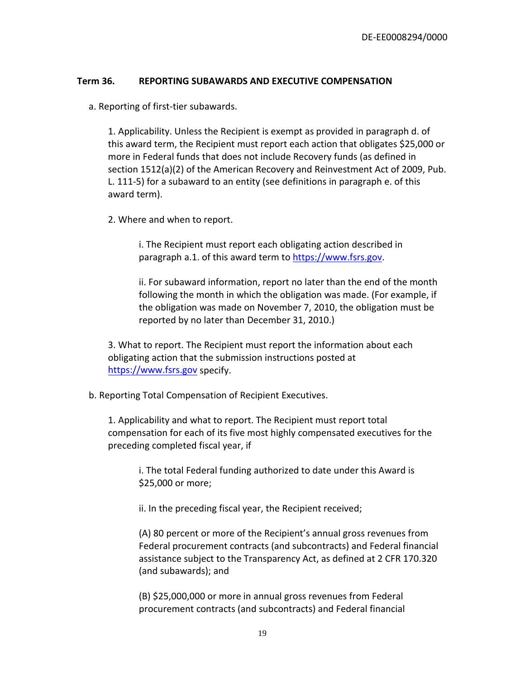#### <span id="page-18-0"></span>**Term 36. REPORTING SUBAWARDS AND EXECUTIVE COMPENSATION**

a. Reporting of first-tier subawards.

1. Applicability. Unless the Recipient is exempt as provided in paragraph d. of this award term, the Recipient must report each action that obligates \$25,000 or more in Federal funds that does not include Recovery funds (as defined in section 1512(a)(2) of the American Recovery and Reinvestment Act of 2009, Pub. L. 111-5) for a subaward to an entity (see definitions in paragraph e. of this award term).

2. Where and when to report.

i. The Recipient must report each obligating action described in paragraph a.1. of this award term to [https://www.fsrs.gov.](https://www.fsrs.gov/)

ii. For subaward information, report no later than the end of the month following the month in which the obligation was made. (For example, if the obligation was made on November 7, 2010, the obligation must be reported by no later than December 31, 2010.)

3. What to report. The Recipient must report the information about each obligating action that the submission instructions posted at [https://www.fsrs.gov](https://www.fsrs.gov/) specify.

b. Reporting Total Compensation of Recipient Executives.

1. Applicability and what to report. The Recipient must report total compensation for each of its five most highly compensated executives for the preceding completed fiscal year, if

i. The total Federal funding authorized to date under this Award is \$25,000 or more;

ii. In the preceding fiscal year, the Recipient received;

(A) 80 percent or more of the Recipient's annual gross revenues from Federal procurement contracts (and subcontracts) and Federal financial assistance subject to the Transparency Act, as defined at 2 CFR 170.320 (and subawards); and

(B) \$25,000,000 or more in annual gross revenues from Federal procurement contracts (and subcontracts) and Federal financial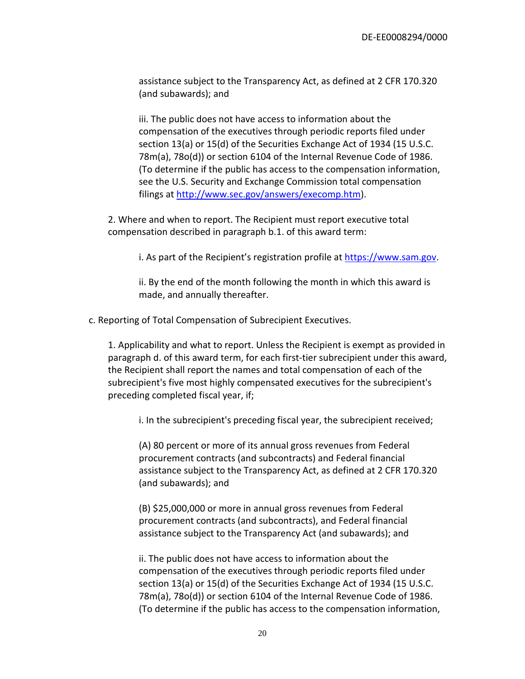assistance subject to the Transparency Act, as defined at 2 CFR 170.320 (and subawards); and

iii. The public does not have access to information about the compensation of the executives through periodic reports filed under section 13(a) or 15(d) of the Securities Exchange Act of 1934 (15 U.S.C. 78m(a), 78o(d)) or section 6104 of the Internal Revenue Code of 1986. (To determine if the public has access to the compensation information, see the U.S. Security and Exchange Commission total compensation filings at [http://www.sec.gov/answers/execomp.htm\)](http://www.sec.gov/answers/execomp.htm).

2. Where and when to report. The Recipient must report executive total compensation described in paragraph b.1. of this award term:

i. As part of the Recipient's registration profile at [https://www.sam.gov.](https://www.sam.gov/)

ii. By the end of the month following the month in which this award is made, and annually thereafter.

c. Reporting of Total Compensation of Subrecipient Executives.

1. Applicability and what to report. Unless the Recipient is exempt as provided in paragraph d. of this award term, for each first-tier subrecipient under this award, the Recipient shall report the names and total compensation of each of the subrecipient's five most highly compensated executives for the subrecipient's preceding completed fiscal year, if;

i. In the subrecipient's preceding fiscal year, the subrecipient received;

(A) 80 percent or more of its annual gross revenues from Federal procurement contracts (and subcontracts) and Federal financial assistance subject to the Transparency Act, as defined at 2 CFR 170.320 (and subawards); and

(B) \$25,000,000 or more in annual gross revenues from Federal procurement contracts (and subcontracts), and Federal financial assistance subject to the Transparency Act (and subawards); and

ii. The public does not have access to information about the compensation of the executives through periodic reports filed under section 13(a) or 15(d) of the Securities Exchange Act of 1934 (15 U.S.C. 78m(a), 78o(d)) or section 6104 of the Internal Revenue Code of 1986. (To determine if the public has access to the compensation information,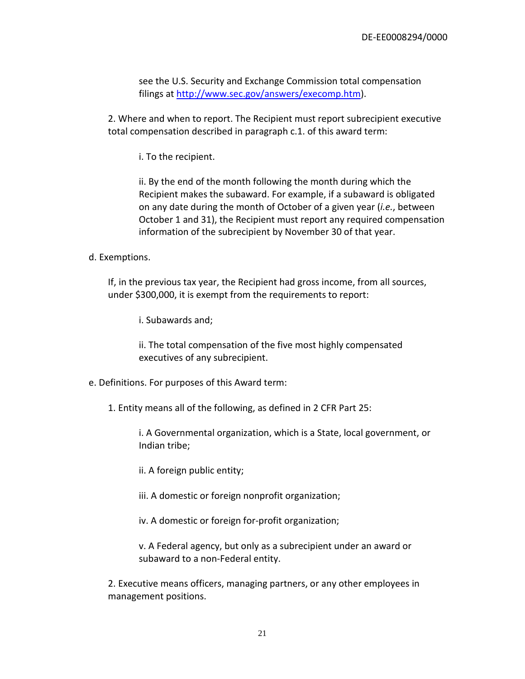see the U.S. Security and Exchange Commission total compensation filings at [http://www.sec.gov/answers/execomp.htm\)](http://www.sec.gov/answers/execomp.htm).

2. Where and when to report. The Recipient must report subrecipient executive total compensation described in paragraph c.1. of this award term:

i. To the recipient.

ii. By the end of the month following the month during which the Recipient makes the subaward. For example, if a subaward is obligated on any date during the month of October of a given year (*i.e.*, between October 1 and 31), the Recipient must report any required compensation information of the subrecipient by November 30 of that year.

#### d. Exemptions.

If, in the previous tax year, the Recipient had gross income, from all sources, under \$300,000, it is exempt from the requirements to report:

i. Subawards and;

ii. The total compensation of the five most highly compensated executives of any subrecipient.

- e. Definitions. For purposes of this Award term:
	- 1. Entity means all of the following, as defined in 2 CFR Part 25:

i. A Governmental organization, which is a State, local government, or Indian tribe;

ii. A foreign public entity;

iii. A domestic or foreign nonprofit organization;

iv. A domestic or foreign for-profit organization;

v. A Federal agency, but only as a subrecipient under an award or subaward to a non-Federal entity.

2. Executive means officers, managing partners, or any other employees in management positions.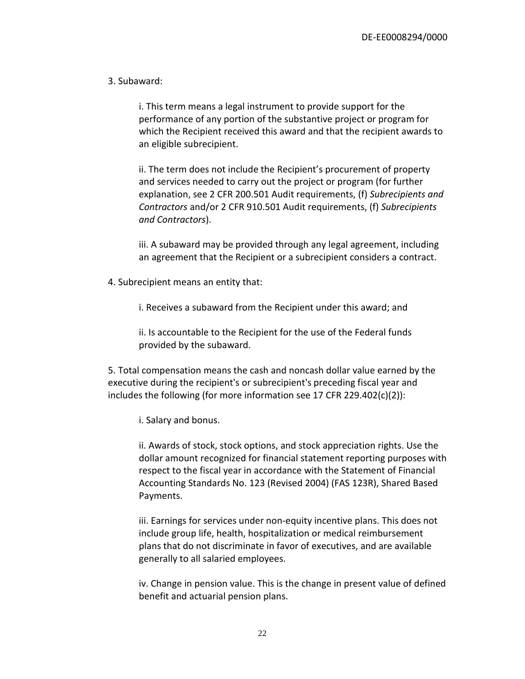#### 3. Subaward:

i. This term means a legal instrument to provide support for the performance of any portion of the substantive project or program for which the Recipient received this award and that the recipient awards to an eligible subrecipient.

ii. The term does not include the Recipient's procurement of property and services needed to carry out the project or program (for further explanation, see 2 CFR 200.501 Audit requirements, (f) *Subrecipients and Contractors* and/or 2 CFR 910.501 Audit requirements, (f) *Subrecipients and Contractors*).

iii. A subaward may be provided through any legal agreement, including an agreement that the Recipient or a subrecipient considers a contract.

4. Subrecipient means an entity that:

i. Receives a subaward from the Recipient under this award; and

ii. Is accountable to the Recipient for the use of the Federal funds provided by the subaward.

5. Total compensation means the cash and noncash dollar value earned by the executive during the recipient's or subrecipient's preceding fiscal year and includes the following (for more information see 17 CFR 229.402(c)(2)):

i. Salary and bonus.

ii. Awards of stock, stock options, and stock appreciation rights. Use the dollar amount recognized for financial statement reporting purposes with respect to the fiscal year in accordance with the Statement of Financial Accounting Standards No. 123 (Revised 2004) (FAS 123R), Shared Based Payments.

iii. Earnings for services under non-equity incentive plans. This does not include group life, health, hospitalization or medical reimbursement plans that do not discriminate in favor of executives, and are available generally to all salaried employees.

iv. Change in pension value. This is the change in present value of defined benefit and actuarial pension plans.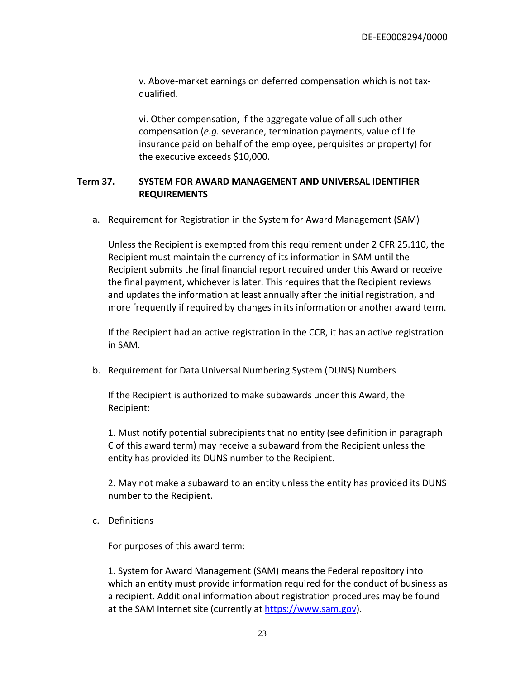v. Above-market earnings on deferred compensation which is not taxqualified.

vi. Other compensation, if the aggregate value of all such other compensation (*e.g.* severance, termination payments, value of life insurance paid on behalf of the employee, perquisites or property) for the executive exceeds \$10,000.

#### <span id="page-22-0"></span>**Term 37. SYSTEM FOR AWARD MANAGEMENT AND UNIVERSAL IDENTIFIER REQUIREMENTS**

a. Requirement for Registration in the System for Award Management (SAM)

Unless the Recipient is exempted from this requirement under 2 CFR 25.110, the Recipient must maintain the currency of its information in SAM until the Recipient submits the final financial report required under this Award or receive the final payment, whichever is later. This requires that the Recipient reviews and updates the information at least annually after the initial registration, and more frequently if required by changes in its information or another award term.

If the Recipient had an active registration in the CCR, it has an active registration in SAM.

b. Requirement for Data Universal Numbering System (DUNS) Numbers

If the Recipient is authorized to make subawards under this Award, the Recipient:

1. Must notify potential subrecipients that no entity (see definition in paragraph C of this award term) may receive a subaward from the Recipient unless the entity has provided its DUNS number to the Recipient.

2. May not make a subaward to an entity unless the entity has provided its DUNS number to the Recipient.

c. Definitions

For purposes of this award term:

1. System for Award Management (SAM) means the Federal repository into which an entity must provide information required for the conduct of business as a recipient. Additional information about registration procedures may be found at the SAM Internet site (currently a[t https://www.sam.gov\)](https://www.sam.gov/).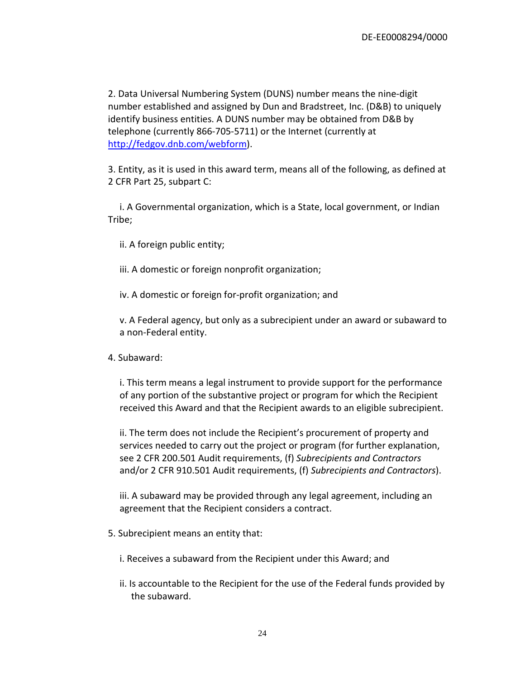2. Data Universal Numbering System (DUNS) number means the nine-digit number established and assigned by Dun and Bradstreet, Inc. (D&B) to uniquely identify business entities. A DUNS number may be obtained from D&B by telephone (currently 866-705-5711) or the Internet (currently at [http://fedgov.dnb.com/webform\)](http://fedgov.dnb.com/webform).

3. Entity, as it is used in this award term, means all of the following, as defined at 2 CFR Part 25, subpart C:

i. A Governmental organization, which is a State, local government, or Indian Tribe;

ii. A foreign public entity;

iii. A domestic or foreign nonprofit organization;

iv. A domestic or foreign for-profit organization; and

v. A Federal agency, but only as a subrecipient under an award or subaward to a non-Federal entity.

4. Subaward:

i. This term means a legal instrument to provide support for the performance of any portion of the substantive project or program for which the Recipient received this Award and that the Recipient awards to an eligible subrecipient.

ii. The term does not include the Recipient's procurement of property and services needed to carry out the project or program (for further explanation, see 2 CFR 200.501 Audit requirements, (f) *Subrecipients and Contractors* and/or 2 CFR 910.501 Audit requirements, (f) *Subrecipients and Contractors*).

iii. A subaward may be provided through any legal agreement, including an agreement that the Recipient considers a contract.

- 5. Subrecipient means an entity that:
	- i. Receives a subaward from the Recipient under this Award; and
	- ii. Is accountable to the Recipient for the use of the Federal funds provided by the subaward.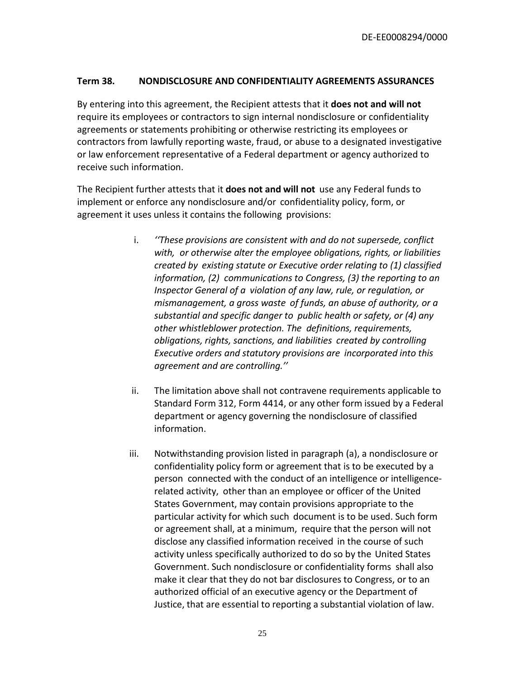#### <span id="page-24-0"></span>**Term 38. NONDISCLOSURE AND CONFIDENTIALITY AGREEMENTS ASSURANCES**

By entering into this agreement, the Recipient attests that it **does not and will not** require its employees or contractors to sign internal nondisclosure or confidentiality agreements or statements prohibiting or otherwise restricting its employees or contractors from lawfully reporting waste, fraud, or abuse to a designated investigative or law enforcement representative of a Federal department or agency authorized to receive such information.

The Recipient further attests that it **does not and will not** use any Federal funds to implement or enforce any nondisclosure and/or confidentiality policy, form, or agreement it uses unless it contains the following provisions:

- i. *''These provisions are consistent with and do not supersede, conflict with, or otherwise alter the employee obligations, rights, or liabilities created by existing statute or Executive order relating to (1) classified information, (2) communications to Congress, (3) the reporting to an Inspector General of a violation of any law, rule, or regulation, or mismanagement, a gross waste of funds, an abuse of authority, or a substantial and specific danger to public health or safety, or (4) any other whistleblower protection. The definitions, requirements, obligations, rights, sanctions, and liabilities created by controlling Executive orders and statutory provisions are incorporated into this agreement and are controlling.''*
- ii. The limitation above shall not contravene requirements applicable to Standard Form 312, Form 4414, or any other form issued by a Federal department or agency governing the nondisclosure of classified information.
- iii. Notwithstanding provision listed in paragraph (a), a nondisclosure or confidentiality policy form or agreement that is to be executed by a person connected with the conduct of an intelligence or intelligencerelated activity, other than an employee or officer of the United States Government, may contain provisions appropriate to the particular activity for which such document is to be used. Such form or agreement shall, at a minimum, require that the person will not disclose any classified information received in the course of such activity unless specifically authorized to do so by the United States Government. Such nondisclosure or confidentiality forms shall also make it clear that they do not bar disclosures to Congress, or to an authorized official of an executive agency or the Department of Justice, that are essential to reporting a substantial violation of law.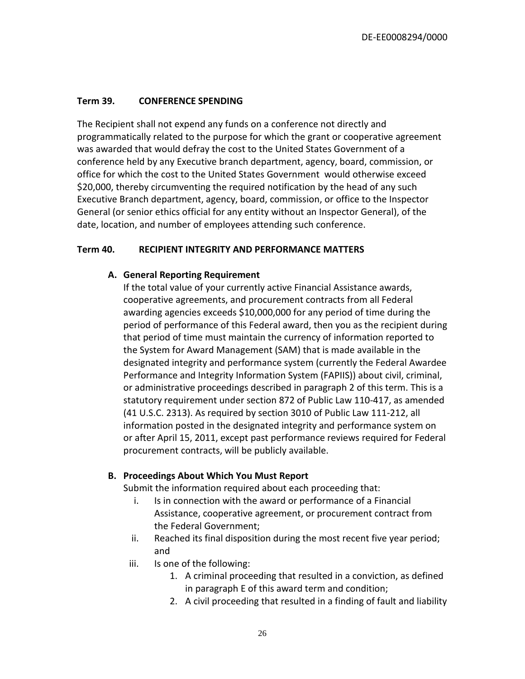# <span id="page-25-0"></span>**Term 39. CONFERENCE SPENDING**

The Recipient shall not expend any funds on a conference not directly and programmatically related to the purpose for which the grant or cooperative agreement was awarded that would defray the cost to the United States Government of a conference held by any Executive branch department, agency, board, commission, or office for which the cost to the United States Government would otherwise exceed \$20,000, thereby circumventing the required notification by the head of any such Executive Branch department, agency, board, commission, or office to the Inspector General (or senior ethics official for any entity without an Inspector General), of the date, location, and number of employees attending such conference.

#### <span id="page-25-1"></span>**Term 40. RECIPIENT INTEGRITY AND PERFORMANCE MATTERS**

#### **A. General Reporting Requirement**

If the total value of your currently active Financial Assistance awards, cooperative agreements, and procurement contracts from all Federal awarding agencies exceeds \$10,000,000 for any period of time during the period of performance of this Federal award, then you as the recipient during that period of time must maintain the currency of information reported to the System for Award Management (SAM) that is made available in the designated integrity and performance system (currently the Federal Awardee Performance and Integrity Information System (FAPIIS)) about civil, criminal, or administrative proceedings described in paragraph 2 of this term. This is a statutory requirement under section 872 of Public Law 110-417, as amended (41 U.S.C. 2313). As required by section 3010 of Public Law 111-212, all information posted in the designated integrity and performance system on or after April 15, 2011, except past performance reviews required for Federal procurement contracts, will be publicly available.

#### **B. Proceedings About Which You Must Report**

Submit the information required about each proceeding that:

- i. Is in connection with the award or performance of a Financial Assistance, cooperative agreement, or procurement contract from the Federal Government;
- ii. Reached its final disposition during the most recent five year period; and
- iii. Is one of the following:
	- 1. A criminal proceeding that resulted in a conviction, as defined in paragraph E of this award term and condition;
	- 2. A civil proceeding that resulted in a finding of fault and liability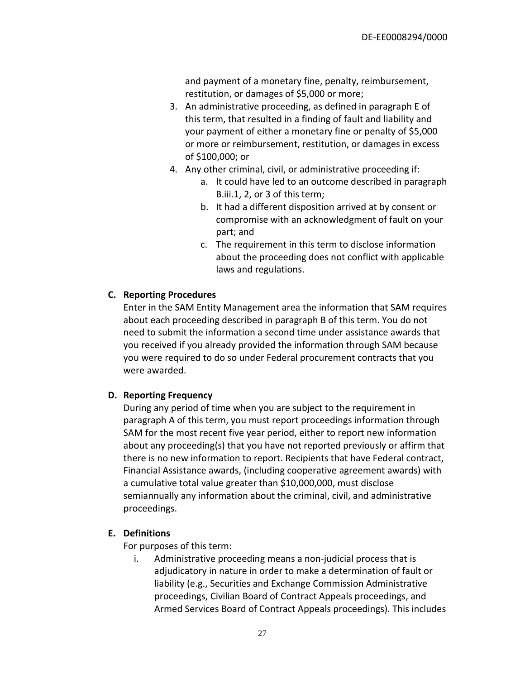and payment of a monetary fine, penalty, reimbursement, restitution, or damages of \$5,000 or more;

- 3. An administrative proceeding, as defined in paragraph E of this term, that resulted in a finding of fault and liability and your payment of either a monetary fine or penalty of \$5,000 or more or reimbursement, restitution, or damages in excess of \$100,000; or
- 4. Any other criminal, civil, or administrative proceeding if:
	- a. It could have led to an outcome described in paragraph B.iii.1, 2, or 3 of this term;
	- b. It had a different disposition arrived at by consent or compromise with an acknowledgment of fault on your part; and
	- c. The requirement in this term to disclose information about the proceeding does not conflict with applicable laws and regulations.

# **C. Reporting Procedures**

Enter in the SAM Entity Management area the information that SAM requires about each proceeding described in paragraph B of this term. You do not need to submit the information a second time under assistance awards that you received if you already provided the information through SAM because you were required to do so under Federal procurement contracts that you were awarded.

## **D. Reporting Frequency**

During any period of time when you are subject to the requirement in paragraph A of this term, you must report proceedings information through SAM for the most recent five year period, either to report new information about any proceeding(s) that you have not reported previously or affirm that there is no new information to report. Recipients that have Federal contract, Financial Assistance awards, (including cooperative agreement awards) with a cumulative total value greater than \$10,000,000, must disclose semiannually any information about the criminal, civil, and administrative proceedings.

## **E. Definitions**

For purposes of this term:

i. Administrative proceeding means a non-judicial process that is adjudicatory in nature in order to make a determination of fault or liability (e.g., Securities and Exchange Commission Administrative proceedings, Civilian Board of Contract Appeals proceedings, and Armed Services Board of Contract Appeals proceedings). This includes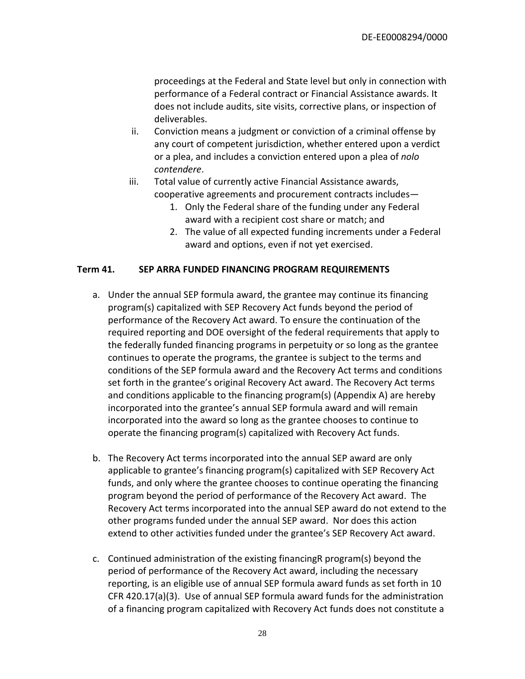proceedings at the Federal and State level but only in connection with performance of a Federal contract or Financial Assistance awards. It does not include audits, site visits, corrective plans, or inspection of deliverables.

- ii. Conviction means a judgment or conviction of a criminal offense by any court of competent jurisdiction, whether entered upon a verdict or a plea, and includes a conviction entered upon a plea of *nolo contendere*.
- iii. Total value of currently active Financial Assistance awards, cooperative agreements and procurement contracts includes—
	- 1. Only the Federal share of the funding under any Federal award with a recipient cost share or match; and
	- 2. The value of all expected funding increments under a Federal award and options, even if not yet exercised.

## <span id="page-27-0"></span>**Term 41. SEP ARRA FUNDED FINANCING PROGRAM REQUIREMENTS**

- a. Under the annual SEP formula award, the grantee may continue its financing program(s) capitalized with SEP Recovery Act funds beyond the period of performance of the Recovery Act award. To ensure the continuation of the required reporting and DOE oversight of the federal requirements that apply to the federally funded financing programs in perpetuity or so long as the grantee continues to operate the programs, the grantee is subject to the terms and conditions of the SEP formula award and the Recovery Act terms and conditions set forth in the grantee's original Recovery Act award. The Recovery Act terms and conditions applicable to the financing program(s) (Appendix A) are hereby incorporated into the grantee's annual SEP formula award and will remain incorporated into the award so long as the grantee chooses to continue to operate the financing program(s) capitalized with Recovery Act funds.
- b. The Recovery Act terms incorporated into the annual SEP award are only applicable to grantee's financing program(s) capitalized with SEP Recovery Act funds, and only where the grantee chooses to continue operating the financing program beyond the period of performance of the Recovery Act award. The Recovery Act terms incorporated into the annual SEP award do not extend to the other programs funded under the annual SEP award. Nor does this action extend to other activities funded under the grantee's SEP Recovery Act award.
- c. Continued administration of the existing financingR program(s) beyond the period of performance of the Recovery Act award, including the necessary reporting, is an eligible use of annual SEP formula award funds as set forth in 10 CFR 420.17(a)(3). Use of annual SEP formula award funds for the administration of a financing program capitalized with Recovery Act funds does not constitute a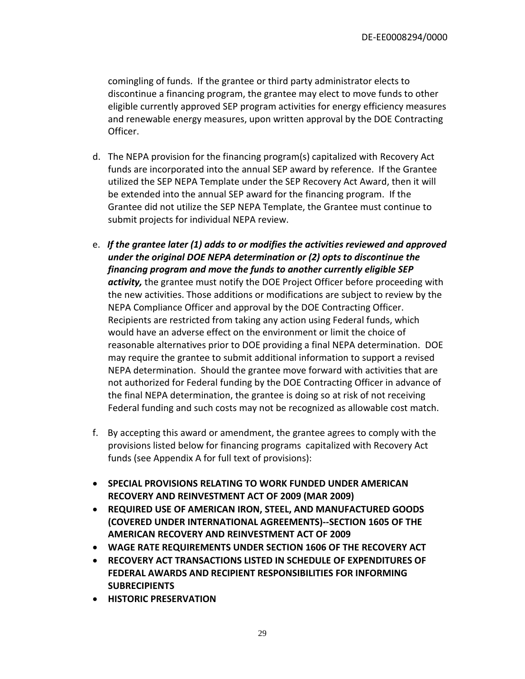comingling of funds. If the grantee or third party administrator elects to discontinue a financing program, the grantee may elect to move funds to other eligible currently approved SEP program activities for energy efficiency measures and renewable energy measures, upon written approval by the DOE Contracting Officer.

- d. The NEPA provision for the financing program(s) capitalized with Recovery Act funds are incorporated into the annual SEP award by reference. If the Grantee utilized the SEP NEPA Template under the SEP Recovery Act Award, then it will be extended into the annual SEP award for the financing program. If the Grantee did not utilize the SEP NEPA Template, the Grantee must continue to submit projects for individual NEPA review.
- e. *If the grantee later (1) adds to or modifies the activities reviewed and approved under the original DOE NEPA determination or (2) opts to discontinue the financing program and move the funds to another currently eligible SEP activity,* the grantee must notify the DOE Project Officer before proceeding with the new activities. Those additions or modifications are subject to review by the NEPA Compliance Officer and approval by the DOE Contracting Officer. Recipients are restricted from taking any action using Federal funds, which would have an adverse effect on the environment or limit the choice of reasonable alternatives prior to DOE providing a final NEPA determination. DOE may require the grantee to submit additional information to support a revised NEPA determination. Should the grantee move forward with activities that are not authorized for Federal funding by the DOE Contracting Officer in advance of the final NEPA determination, the grantee is doing so at risk of not receiving Federal funding and such costs may not be recognized as allowable cost match.
- f. By accepting this award or amendment, the grantee agrees to comply with the provisions listed below for financing programs capitalized with Recovery Act funds (see Appendix A for full text of provisions):
- **SPECIAL PROVISIONS RELATING TO WORK FUNDED UNDER AMERICAN RECOVERY AND REINVESTMENT ACT OF 2009 (MAR 2009)**
- **REQUIRED USE OF AMERICAN IRON, STEEL, AND MANUFACTURED GOODS (COVERED UNDER INTERNATIONAL AGREEMENTS)--SECTION 1605 OF THE AMERICAN RECOVERY AND REINVESTMENT ACT OF 2009**
- **WAGE RATE REQUIREMENTS UNDER SECTION 1606 OF THE RECOVERY ACT**
- **RECOVERY ACT TRANSACTIONS LISTED IN SCHEDULE OF EXPENDITURES OF FEDERAL AWARDS AND RECIPIENT RESPONSIBILITIES FOR INFORMING SUBRECIPIENTS**
- **HISTORIC PRESERVATION**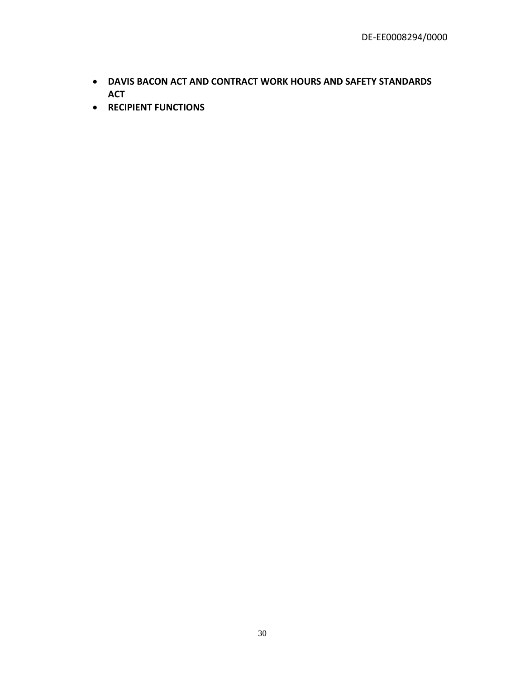- **DAVIS BACON ACT AND CONTRACT WORK HOURS AND SAFETY STANDARDS ACT**
- **RECIPIENT FUNCTIONS**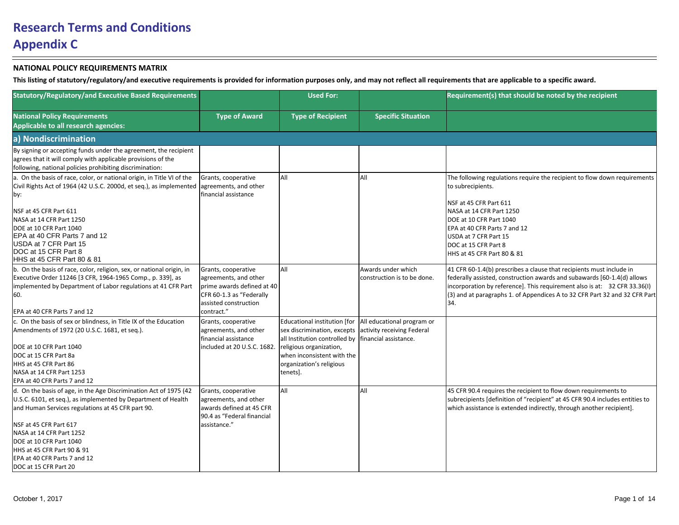| <b>Statutory/Regulatory/and Executive Based Requirements</b>                                                                                                                                                                                                                                                                                                               |                                                                                                                                               | <b>Used For:</b>                                                                                                                                                                                                    |                                                          | Requirement(s) that should be noted by the recipient                                                                                                                                                                                                                                                              |
|----------------------------------------------------------------------------------------------------------------------------------------------------------------------------------------------------------------------------------------------------------------------------------------------------------------------------------------------------------------------------|-----------------------------------------------------------------------------------------------------------------------------------------------|---------------------------------------------------------------------------------------------------------------------------------------------------------------------------------------------------------------------|----------------------------------------------------------|-------------------------------------------------------------------------------------------------------------------------------------------------------------------------------------------------------------------------------------------------------------------------------------------------------------------|
| <b>National Policy Requirements</b><br>Applicable to all research agencies:                                                                                                                                                                                                                                                                                                | <b>Type of Award</b>                                                                                                                          | <b>Type of Recipient</b>                                                                                                                                                                                            | <b>Specific Situation</b>                                |                                                                                                                                                                                                                                                                                                                   |
| a) Nondiscrimination                                                                                                                                                                                                                                                                                                                                                       |                                                                                                                                               |                                                                                                                                                                                                                     |                                                          |                                                                                                                                                                                                                                                                                                                   |
| By signing or accepting funds under the agreement, the recipient<br>agrees that it will comply with applicable provisions of the<br>following, national policies prohibiting discrimination:                                                                                                                                                                               |                                                                                                                                               |                                                                                                                                                                                                                     |                                                          |                                                                                                                                                                                                                                                                                                                   |
| a. On the basis of race, color, or national origin, in Title VI of the<br>Civil Rights Act of 1964 (42 U.S.C. 2000d, et seq.), as implemented agreements, and other<br>by:<br>NSF at 45 CFR Part 611<br>NASA at 14 CFR Part 1250<br>DOE at 10 CFR Part 1040<br>EPA at 40 CFR Parts 7 and 12<br>USDA at 7 CFR Part 15<br>DOC at 15 CFR Part 8<br>HHS at 45 CFR Part 80 & 81 | Grants, cooperative<br>financial assistance                                                                                                   | All                                                                                                                                                                                                                 | All                                                      | The following regulations require the recipient to flow down requirements<br>to subrecipients.<br>NSF at 45 CFR Part 611<br>NASA at 14 CFR Part 1250<br>DOE at 10 CFR Part 1040<br>EPA at 40 CFR Parts 7 and 12<br>USDA at 7 CFR Part 15<br>DOC at 15 CFR Part 8<br>HHS at 45 CFR Part 80 & 81                    |
| b. On the basis of race, color, religion, sex, or national origin, in<br>Executive Order 11246 [3 CFR, 1964-1965 Comp., p. 339], as<br>implemented by Department of Labor regulations at 41 CFR Part<br>60.<br>EPA at 40 CFR Parts 7 and 12                                                                                                                                | Grants, cooperative<br>agreements, and other<br>prime awards defined at 40<br>CFR 60-1.3 as "Federally<br>assisted construction<br>contract." | All                                                                                                                                                                                                                 | Awards under which<br>construction is to be done.        | 41 CFR 60-1.4(b) prescribes a clause that recipients must include in<br>federally assisted, construction awards and subawards [60-1.4(d) allows<br>incorporation by reference]. This requirement also is at: 32 CFR 33.36(I)<br>(3) and at paragraphs 1. of Appendices A to 32 CFR Part 32 and 32 CFR Part<br>34. |
| c. On the basis of sex or blindness, in Title IX of the Education<br>Amendments of 1972 (20 U.S.C. 1681, et seq.).<br>DOE at 10 CFR Part 1040<br>DOC at 15 CFR Part 8a<br>HHS at 45 CFR Part 86<br>NASA at 14 CFR Part 1253<br>EPA at 40 CFR Parts 7 and 12                                                                                                                | Grants, cooperative<br>agreements, and other<br>financial assistance<br>included at 20 U.S.C. 1682.                                           | Educational institution [for<br>sex discrimination, excepts<br>all Institution controlled by financial assistance.<br>religious organization,<br>when inconsistent with the<br>organization's religious<br>tenets]. | All educational program or<br>activity receiving Federal |                                                                                                                                                                                                                                                                                                                   |
| d. On the basis of age, in the Age Discrimination Act of 1975 (42<br>U.S.C. 6101, et seq.), as implemented by Department of Health<br>and Human Services regulations at 45 CFR part 90.<br>NSF at 45 CFR Part 617<br>NASA at 14 CFR Part 1252<br>DOE at 10 CFR Part 1040<br>HHS at 45 CFR Part 90 & 91<br>EPA at 40 CFR Parts 7 and 12<br>DOC at 15 CFR Part 20            | Grants, cooperative<br>agreements, and other<br>lawards defined at 45 CFR<br>90.4 as "Federal financial<br>assistance."                       | All                                                                                                                                                                                                                 | All                                                      | 45 CFR 90.4 requires the recipient to flow down requirements to<br>subrecipients [definition of "recipient" at 45 CFR 90.4 includes entities to<br>which assistance is extended indirectly, through another recipient].                                                                                           |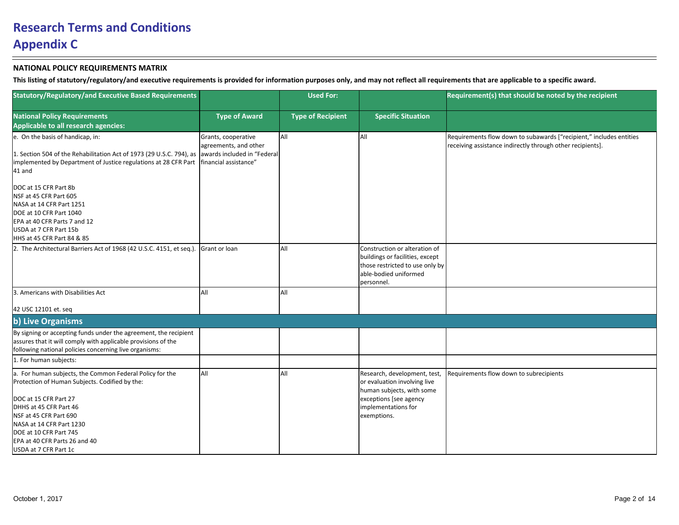| <b>Statutory/Regulatory/and Executive Based Requirements</b>                                                                                                                                   |                                                                                                      | <b>Used For:</b>         |                                                                                                                                            | Requirement(s) that should be noted by the recipient                                                                              |
|------------------------------------------------------------------------------------------------------------------------------------------------------------------------------------------------|------------------------------------------------------------------------------------------------------|--------------------------|--------------------------------------------------------------------------------------------------------------------------------------------|-----------------------------------------------------------------------------------------------------------------------------------|
| <b>National Policy Requirements</b><br>Applicable to all research agencies:                                                                                                                    | <b>Type of Award</b>                                                                                 | <b>Type of Recipient</b> | <b>Specific Situation</b>                                                                                                                  |                                                                                                                                   |
| e. On the basis of handicap, in:<br>1. Section 504 of the Rehabilitation Act of 1973 (29 U.S.C. 794), as<br>implemented by Department of Justice regulations at 28 CFR Part<br>41 and          | Grants, cooperative<br>agreements, and other<br>awards included in "Federal<br>financial assistance" | All                      | lail                                                                                                                                       | Requirements flow down to subawards ["recipient," includes entities<br>receiving assistance indirectly through other recipients]. |
| DOC at 15 CFR Part 8b<br>NSF at 45 CFR Part 605<br>NASA at 14 CFR Part 1251<br>DOE at 10 CFR Part 1040<br>EPA at 40 CFR Parts 7 and 12<br>USDA at 7 CFR Part 15b<br>HHS at 45 CFR Part 84 & 85 |                                                                                                      |                          |                                                                                                                                            |                                                                                                                                   |
| 2. The Architectural Barriers Act of 1968 (42 U.S.C. 4151, et seq.).                                                                                                                           | Grant or Ioan                                                                                        | All                      | Construction or alteration of<br>buildings or facilities, except<br>those restricted to use only by<br>able-bodied uniformed<br>personnel. |                                                                                                                                   |
| 3. Americans with Disabilities Act<br>42 USC 12101 et. seq                                                                                                                                     | All                                                                                                  | All                      |                                                                                                                                            |                                                                                                                                   |
| b) Live Organisms                                                                                                                                                                              |                                                                                                      |                          |                                                                                                                                            |                                                                                                                                   |
| By signing or accepting funds under the agreement, the recipient<br>assures that it will comply with applicable provisions of the<br>following national policies concerning live organisms:    |                                                                                                      |                          |                                                                                                                                            |                                                                                                                                   |
| 1. For human subjects:                                                                                                                                                                         |                                                                                                      |                          |                                                                                                                                            |                                                                                                                                   |
| a. For human subjects, the Common Federal Policy for the<br>Protection of Human Subjects. Codified by the:                                                                                     | laii                                                                                                 | All                      | Research, development, test,<br>or evaluation involving live<br>human subjects, with some                                                  | Requirements flow down to subrecipients                                                                                           |
| DOC at 15 CFR Part 27<br>DHHS at 45 CFR Part 46<br>NSF at 45 CFR Part 690<br>NASA at 14 CFR Part 1230<br>DOE at 10 CFR Part 745<br>EPA at 40 CFR Parts 26 and 40<br>USDA at 7 CFR Part 1c      |                                                                                                      |                          | exceptions [see agency<br>implementations for<br>exemptions.                                                                               |                                                                                                                                   |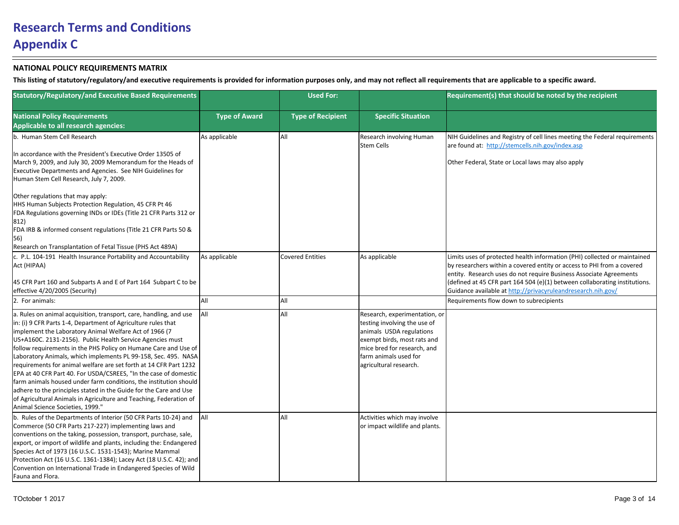| <b>Statutory/Regulatory/and Executive Based Requirements</b>                                                                                                                                                                                                                                                                                                                                                                                                                                                                                                                                                                                                                                                                                                                                 |                      | <b>Used For:</b>         |                                                                                                                                                                                                            | Requirement(s) that should be noted by the recipient                                                                                                                                                                                                                                                    |
|----------------------------------------------------------------------------------------------------------------------------------------------------------------------------------------------------------------------------------------------------------------------------------------------------------------------------------------------------------------------------------------------------------------------------------------------------------------------------------------------------------------------------------------------------------------------------------------------------------------------------------------------------------------------------------------------------------------------------------------------------------------------------------------------|----------------------|--------------------------|------------------------------------------------------------------------------------------------------------------------------------------------------------------------------------------------------------|---------------------------------------------------------------------------------------------------------------------------------------------------------------------------------------------------------------------------------------------------------------------------------------------------------|
| <b>National Policy Requirements</b><br>Applicable to all research agencies:                                                                                                                                                                                                                                                                                                                                                                                                                                                                                                                                                                                                                                                                                                                  | <b>Type of Award</b> | <b>Type of Recipient</b> | <b>Specific Situation</b>                                                                                                                                                                                  |                                                                                                                                                                                                                                                                                                         |
| b. Human Stem Cell Research                                                                                                                                                                                                                                                                                                                                                                                                                                                                                                                                                                                                                                                                                                                                                                  | As applicable        | All                      | Research involving Human<br><b>Stem Cells</b>                                                                                                                                                              | NIH Guidelines and Registry of cell lines meeting the Federal requirements<br>are found at: http://stemcells.nih.gov/index.asp                                                                                                                                                                          |
| In accordance with the President's Executive Order 13505 of<br>March 9, 2009, and July 30, 2009 Memorandum for the Heads of<br><b>Executive Departments and Agencies. See NIH Guidelines for</b><br>Human Stem Cell Research, July 7, 2009.                                                                                                                                                                                                                                                                                                                                                                                                                                                                                                                                                  |                      |                          |                                                                                                                                                                                                            | Other Federal, State or Local laws may also apply                                                                                                                                                                                                                                                       |
| Other regulations that may apply:<br>HHS Human Subjects Protection Regulation, 45 CFR Pt 46<br>FDA Regulations governing INDs or IDEs (Title 21 CFR Parts 312 or<br>$ 812\rangle$<br>FDA IRB & informed consent regulations (Title 21 CFR Parts 50 &<br>56)<br>Research on Transplantation of Fetal Tissue (PHS Act 489A)                                                                                                                                                                                                                                                                                                                                                                                                                                                                    |                      |                          |                                                                                                                                                                                                            |                                                                                                                                                                                                                                                                                                         |
| c. P.L. 104-191 Health Insurance Portability and Accountability<br>Act (HIPAA)<br>45 CFR Part 160 and Subparts A and E of Part 164 Subpart C to be                                                                                                                                                                                                                                                                                                                                                                                                                                                                                                                                                                                                                                           | As applicable        | <b>Covered Entities</b>  | As applicable                                                                                                                                                                                              | Limits uses of protected health information (PHI) collected or maintained<br>by researchers within a covered entity or access to PHI from a covered<br>entity. Research uses do not require Business Associate Agreements<br>(defined at 45 CFR part 164 504 (e)(1) between collaborating institutions. |
| effective 4/20/2005 (Security)<br>2. For animals:                                                                                                                                                                                                                                                                                                                                                                                                                                                                                                                                                                                                                                                                                                                                            | laii                 | All                      |                                                                                                                                                                                                            | Guidance available at http://privacyruleandresearch.nih.gov/<br>Requirements flow down to subrecipients                                                                                                                                                                                                 |
| a. Rules on animal acquisition, transport, care, handling, and use<br>in: (i) 9 CFR Parts 1-4, Department of Agriculture rules that<br>implement the Laboratory Animal Welfare Act of 1966 (7<br>US+A160C. 2131-2156). Public Health Service Agencies must<br>follow requirements in the PHS Policy on Humane Care and Use of<br>Laboratory Animals, which implements PL 99-158, Sec. 495. NASA<br>requirements for animal welfare are set forth at 14 CFR Part 1232<br>EPA at 40 CFR Part 40. For USDA/CSREES, "In the case of domestic<br>farm animals housed under farm conditions, the institution should<br>adhere to the principles stated in the Guide for the Care and Use<br>of Agricultural Animals in Agriculture and Teaching, Federation of<br>Animal Science Societies, 1999." | <b>AII</b>           | All                      | Research, experimentation, or<br>testing involving the use of<br>animals USDA regulations<br>exempt birds, most rats and<br>mice bred for research, and<br>farm animals used for<br>agricultural research. |                                                                                                                                                                                                                                                                                                         |
| b. Rules of the Departments of Interior (50 CFR Parts 10-24) and<br>Commerce (50 CFR Parts 217-227) implementing laws and<br>conventions on the taking, possession, transport, purchase, sale,<br>export, or import of wildlife and plants, including the: Endangered<br>Species Act of 1973 (16 U.S.C. 1531-1543); Marine Mammal<br>Protection Act (16 U.S.C. 1361-1384); Lacey Act (18 U.S.C. 42); and<br>Convention on International Trade in Endangered Species of Wild<br>Fauna and Flora.                                                                                                                                                                                                                                                                                              | <b>JAII</b>          | All                      | Activities which may involve<br>or impact wildlife and plants.                                                                                                                                             |                                                                                                                                                                                                                                                                                                         |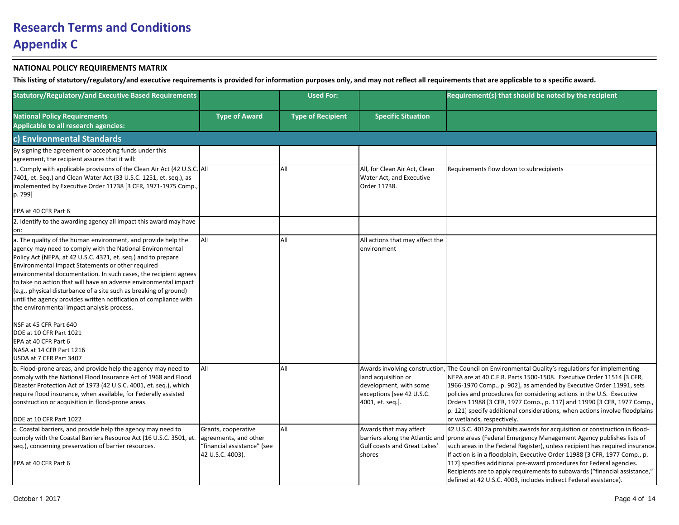| <b>Statutory/Regulatory/and Executive Based Requirements</b>                                                                                                                                                                                                                                                                                                                                                                                                                                                                                                                                                                                                                                                         |                                                                                                 | <b>Used For:</b>         |                                                                                                | Requirement(s) that should be noted by the recipient                                                                                                                                                                                                                                                                                                                                                                                                                                                                                                                         |
|----------------------------------------------------------------------------------------------------------------------------------------------------------------------------------------------------------------------------------------------------------------------------------------------------------------------------------------------------------------------------------------------------------------------------------------------------------------------------------------------------------------------------------------------------------------------------------------------------------------------------------------------------------------------------------------------------------------------|-------------------------------------------------------------------------------------------------|--------------------------|------------------------------------------------------------------------------------------------|------------------------------------------------------------------------------------------------------------------------------------------------------------------------------------------------------------------------------------------------------------------------------------------------------------------------------------------------------------------------------------------------------------------------------------------------------------------------------------------------------------------------------------------------------------------------------|
| <b>National Policy Requirements</b><br>Applicable to all research agencies:                                                                                                                                                                                                                                                                                                                                                                                                                                                                                                                                                                                                                                          | <b>Type of Award</b>                                                                            | <b>Type of Recipient</b> | <b>Specific Situation</b>                                                                      |                                                                                                                                                                                                                                                                                                                                                                                                                                                                                                                                                                              |
| c) Environmental Standards                                                                                                                                                                                                                                                                                                                                                                                                                                                                                                                                                                                                                                                                                           |                                                                                                 |                          |                                                                                                |                                                                                                                                                                                                                                                                                                                                                                                                                                                                                                                                                                              |
| By signing the agreement or accepting funds under this<br>agreement, the recipient assures that it will:                                                                                                                                                                                                                                                                                                                                                                                                                                                                                                                                                                                                             |                                                                                                 |                          |                                                                                                |                                                                                                                                                                                                                                                                                                                                                                                                                                                                                                                                                                              |
| 1. Comply with applicable provisions of the Clean Air Act (42 U.S.C. All<br>7401, et. Seq.) and Clean Water Act (33 U.S.C. 1251, et. seq.), as<br>implemented by Executive Order 11738 [3 CFR, 1971-1975 Comp.,<br>p. 799]                                                                                                                                                                                                                                                                                                                                                                                                                                                                                           |                                                                                                 | All                      | All, for Clean Air Act, Clean<br>Water Act, and Executive<br>Order 11738.                      | Requirements flow down to subrecipients                                                                                                                                                                                                                                                                                                                                                                                                                                                                                                                                      |
| EPA at 40 CFR Part 6                                                                                                                                                                                                                                                                                                                                                                                                                                                                                                                                                                                                                                                                                                 |                                                                                                 |                          |                                                                                                |                                                                                                                                                                                                                                                                                                                                                                                                                                                                                                                                                                              |
| 2. Identify to the awarding agency all impact this award may have<br>lon:                                                                                                                                                                                                                                                                                                                                                                                                                                                                                                                                                                                                                                            |                                                                                                 |                          |                                                                                                |                                                                                                                                                                                                                                                                                                                                                                                                                                                                                                                                                                              |
| a. The quality of the human environment, and provide help the<br>agency may need to comply with the National Environmental<br>Policy Act (NEPA, at 42 U.S.C. 4321, et. seq.) and to prepare<br>Environmental Impact Statements or other required<br>environmental documentation. In such cases, the recipient agrees<br>to take no action that will have an adverse environmental impact<br>(e.g., physical disturbance of a site such as breaking of ground)<br>until the agency provides written notification of compliance with<br>the environmental impact analysis process.<br>NSF at 45 CFR Part 640<br>DOE at 10 CFR Part 1021<br>EPA at 40 CFR Part 6<br>NASA at 14 CFR Part 1216<br>USDA at 7 CFR Part 3407 | <b>A</b> II                                                                                     | All                      | All actions that may affect the<br>environment                                                 |                                                                                                                                                                                                                                                                                                                                                                                                                                                                                                                                                                              |
| b. Flood-prone areas, and provide help the agency may need to<br>comply with the National Flood Insurance Act of 1968 and Flood<br>Disaster Protection Act of 1973 (42 U.S.C. 4001, et. seq.), which<br>require flood insurance, when available, for Federally assisted<br>construction or acquisition in flood-prone areas.<br>DOE at 10 CFR Part 1022                                                                                                                                                                                                                                                                                                                                                              | laii                                                                                            | All                      | land acquisition or<br>development, with some<br>exceptions [see 42 U.S.C.<br>4001, et. seq.]. | Awards involving construction, The Council on Environmental Quality's regulations for implementing<br>NEPA are at 40 C.F.R. Parts 1500-1508. Executive Order 11514 [3 CFR,<br>1966-1970 Comp., p. 902], as amended by Executive Order 11991, sets<br>policies and procedures for considering actions in the U.S. Executive<br>Orders 11988 [3 CFR, 1977 Comp., p. 117] and 11990 [3 CFR, 1977 Comp.,<br>$ p. 121]$ specify additional considerations, when actions involve floodplains<br>or wetlands, respectively.                                                         |
| c. Coastal barriers, and provide help the agency may need to<br>comply with the Coastal Barriers Resource Act (16 U.S.C. 3501, et.<br>seq.), concerning preservation of barrier resources.<br>EPA at 40 CFR Part 6                                                                                                                                                                                                                                                                                                                                                                                                                                                                                                   | Grants, cooperative<br>agreements, and other<br>"financial assistance" (see<br>42 U.S.C. 4003). | All                      | Awards that may affect<br>Gulf coasts and Great Lakes'<br>shores                               | 42 U.S.C. 4012a prohibits awards for acquisition or construction in flood-<br>barriers along the Atlantic and prone areas (Federal Emergency Management Agency publishes lists of<br>such areas in the Federal Register), unless recipient has required insurance.<br>If action is in a floodplain, Executive Order 11988 [3 CFR, 1977 Comp., p.<br>[117] specifies additional pre-award procedures for Federal agencies.<br>Recipients are to apply requirements to subawards ("financial assistance,"<br>defined at 42 U.S.C. 4003, includes indirect Federal assistance). |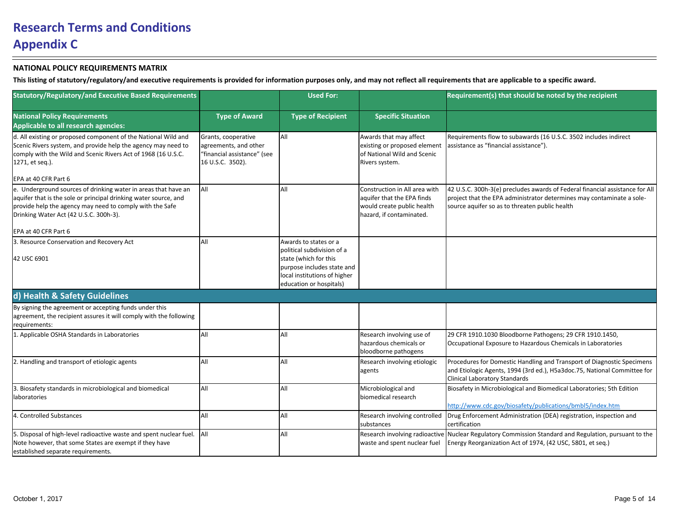| <b>Statutory/Regulatory/and Executive Based Requirements</b>                                                                                                                                                                             |                                                                                                 | <b>Used For:</b>                                                                      |                                                                                                                       | Requirement(s) that should be noted by the recipient                                                                                                                                                    |
|------------------------------------------------------------------------------------------------------------------------------------------------------------------------------------------------------------------------------------------|-------------------------------------------------------------------------------------------------|---------------------------------------------------------------------------------------|-----------------------------------------------------------------------------------------------------------------------|---------------------------------------------------------------------------------------------------------------------------------------------------------------------------------------------------------|
| <b>National Policy Requirements</b><br>Applicable to all research agencies:                                                                                                                                                              | <b>Type of Award</b>                                                                            | <b>Type of Recipient</b>                                                              | <b>Specific Situation</b>                                                                                             |                                                                                                                                                                                                         |
| d. All existing or proposed component of the National Wild and<br>Scenic Rivers system, and provide help the agency may need to<br>comply with the Wild and Scenic Rivers Act of 1968 (16 U.S.C.<br>1271, et seq.).                      | Grants, cooperative<br>agreements, and other<br>"financial assistance" (see<br>16 U.S.C. 3502). | All                                                                                   | Awards that may affect<br>existing or proposed element<br>of National Wild and Scenic<br>Rivers system.               | Requirements flow to subawards (16 U.S.C. 3502 includes indirect<br>assistance as "financial assistance").                                                                                              |
| EPA at 40 CFR Part 6                                                                                                                                                                                                                     |                                                                                                 |                                                                                       |                                                                                                                       |                                                                                                                                                                                                         |
| e. Underground sources of drinking water in areas that have an<br>aquifer that is the sole or principal drinking water source, and<br>provide help the agency may need to comply with the Safe<br>Drinking Water Act (42 U.S.C. 300h-3). | All                                                                                             | All                                                                                   | Construction in All area with<br>aquifer that the EPA finds<br>would create public health<br>hazard, if contaminated. | 42 U.S.C. 300h-3(e) precludes awards of Federal financial assistance for All<br>project that the EPA administrator determines may contaminate a sole-<br>source aquifer so as to threaten public health |
| EPA at 40 CFR Part 6                                                                                                                                                                                                                     |                                                                                                 |                                                                                       |                                                                                                                       |                                                                                                                                                                                                         |
| 3. Resource Conservation and Recovery Act<br>42 USC 6901                                                                                                                                                                                 | laii                                                                                            | Awards to states or a<br>political subdivision of a<br>state (which for this          |                                                                                                                       |                                                                                                                                                                                                         |
|                                                                                                                                                                                                                                          |                                                                                                 | purpose includes state and<br>local institutions of higher<br>education or hospitals) |                                                                                                                       |                                                                                                                                                                                                         |
| d) Health & Safety Guidelines                                                                                                                                                                                                            |                                                                                                 |                                                                                       |                                                                                                                       |                                                                                                                                                                                                         |
| By signing the agreement or accepting funds under this<br>agreement, the recipient assures it will comply with the following<br>requirements:                                                                                            |                                                                                                 |                                                                                       |                                                                                                                       |                                                                                                                                                                                                         |
| 1. Applicable OSHA Standards in Laboratories                                                                                                                                                                                             | laii                                                                                            | All                                                                                   | Research involving use of<br>hazardous chemicals or<br>bloodborne pathogens                                           | 29 CFR 1910.1030 Bloodborne Pathogens; 29 CFR 1910.1450,<br>Occupational Exposure to Hazardous Chemicals in Laboratories                                                                                |
| 2. Handling and transport of etiologic agents                                                                                                                                                                                            | laii                                                                                            | All                                                                                   | Research involving etiologic<br>agents                                                                                | Procedures for Domestic Handling and Transport of Diagnostic Specimens<br>and Etiologic Agents, 1994 (3rd ed.), H5a3doc.75, National Committee for<br>Clinical Laboratory Standards                     |
| 3. Biosafety standards in microbiological and biomedical<br>laboratories                                                                                                                                                                 | laii                                                                                            | All                                                                                   | Microbiological and<br>biomedical research                                                                            | Biosafety in Microbiological and Biomedical Laboratories; 5th Edition<br>http://www.cdc.gov/biosafety/publications/bmbl5/index.htm                                                                      |
| 4. Controlled Substances                                                                                                                                                                                                                 | laii                                                                                            | All                                                                                   | Research involving controlled<br>substances                                                                           | Drug Enforcement Administration (DEA) registration, inspection and<br>certification                                                                                                                     |
| 5. Disposal of high-level radioactive waste and spent nuclear fuel.<br>Note however, that some States are exempt if they have<br>established separate requirements.                                                                      | All                                                                                             | All                                                                                   | Research involving radioactive<br>waste and spent nuclear fuel                                                        | Nuclear Regulatory Commission Standard and Regulation, pursuant to the<br>Energy Reorganization Act of 1974, (42 USC, 5801, et seq.)                                                                    |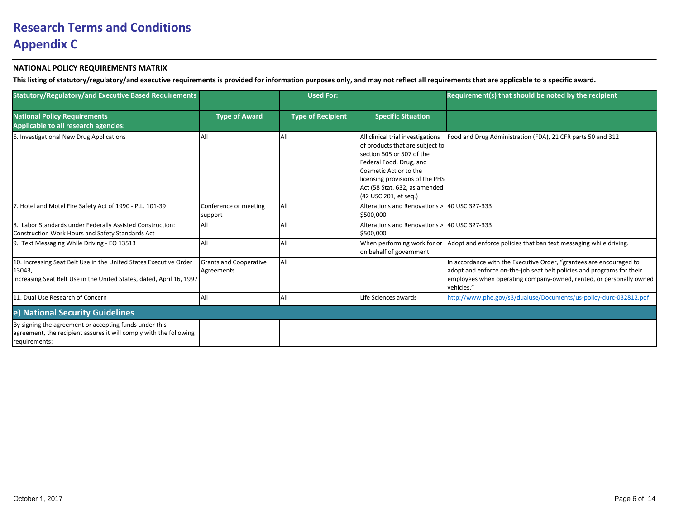| <b>Statutory/Regulatory/and Executive Based Requirements</b>                                                                                        |                                             | <b>Used For:</b>         |                                                                                                                                                                                                                                                              | Requirement(s) that should be noted by the recipient                                                                                                                                                                               |
|-----------------------------------------------------------------------------------------------------------------------------------------------------|---------------------------------------------|--------------------------|--------------------------------------------------------------------------------------------------------------------------------------------------------------------------------------------------------------------------------------------------------------|------------------------------------------------------------------------------------------------------------------------------------------------------------------------------------------------------------------------------------|
| <b>National Policy Requirements</b><br>Applicable to all research agencies:                                                                         | <b>Type of Award</b>                        | <b>Type of Recipient</b> | <b>Specific Situation</b>                                                                                                                                                                                                                                    |                                                                                                                                                                                                                                    |
| 6. Investigational New Drug Applications                                                                                                            | All                                         | All                      | All clinical trial investigations<br>of products that are subject to<br>section 505 or 507 of the<br>Federal Food, Drug, and<br><b>l</b> Cosmetic Act or to the<br>licensing provisions of the PHS<br>Act (58 Stat. 632, as amended<br>(42 USC 201, et seg.) | Food and Drug Administration (FDA), 21 CFR parts 50 and 312                                                                                                                                                                        |
| 7. Hotel and Motel Fire Safety Act of 1990 - P.L. 101-39                                                                                            | Conference or meeting<br>support            | All                      | Alterations and Renovations ><br>\$500.000                                                                                                                                                                                                                   | 40 USC 327-333                                                                                                                                                                                                                     |
| 8. Labor Standards under Federally Assisted Construction:<br>Construction Work Hours and Safety Standards Act                                       | laii                                        | All                      | Alterations and Renovations ><br>\$500,000                                                                                                                                                                                                                   | 40 USC 327-333                                                                                                                                                                                                                     |
| 9. Text Messaging While Driving - EO 13513                                                                                                          | laii                                        | All                      | When performing work for or<br>on behalf of government                                                                                                                                                                                                       | Adopt and enforce policies that ban text messaging while driving.                                                                                                                                                                  |
| 10. Increasing Seat Belt Use in the United States Executive Order<br>13043,<br>Increasing Seat Belt Use in the United States, dated, April 16, 1997 | <b>Grants and Cooperative</b><br>Agreements | All                      |                                                                                                                                                                                                                                                              | In accordance with the Executive Order, "grantees are encouraged to<br>adopt and enforce on-the-job seat belt policies and programs for their<br>employees when operating company-owned, rented, or personally owned<br>vehicles." |
| 11. Dual Use Research of Concern                                                                                                                    | laii                                        | All                      | Life Sciences awards                                                                                                                                                                                                                                         | http://www.phe.gov/s3/dualuse/Documents/us-policy-durc-032812.pdf                                                                                                                                                                  |
| e) National Security Guidelines                                                                                                                     |                                             |                          |                                                                                                                                                                                                                                                              |                                                                                                                                                                                                                                    |
| By signing the agreement or accepting funds under this<br>agreement, the recipient assures it will comply with the following<br>requirements:       |                                             |                          |                                                                                                                                                                                                                                                              |                                                                                                                                                                                                                                    |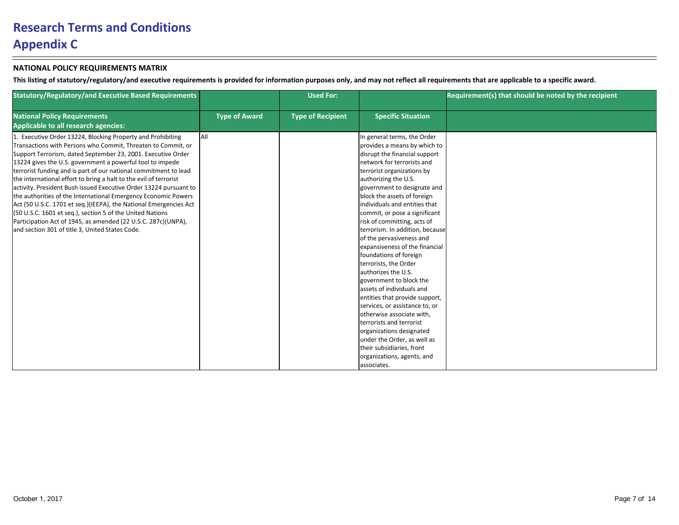| <b>Statutory/Regulatory/and Executive Based Requirements</b>                                                                                                                                                                                                                                                                                                                                                                                                                                                                                                                                                                                                                                                                                                                                |                      | <b>Used For:</b>         |                                                                                                                                                                                                                                                                                                                                                                                                                                                                                                                                                                                                                                                                                                                                                                                                                                                      | Requirement(s) that should be noted by the recipient |
|---------------------------------------------------------------------------------------------------------------------------------------------------------------------------------------------------------------------------------------------------------------------------------------------------------------------------------------------------------------------------------------------------------------------------------------------------------------------------------------------------------------------------------------------------------------------------------------------------------------------------------------------------------------------------------------------------------------------------------------------------------------------------------------------|----------------------|--------------------------|------------------------------------------------------------------------------------------------------------------------------------------------------------------------------------------------------------------------------------------------------------------------------------------------------------------------------------------------------------------------------------------------------------------------------------------------------------------------------------------------------------------------------------------------------------------------------------------------------------------------------------------------------------------------------------------------------------------------------------------------------------------------------------------------------------------------------------------------------|------------------------------------------------------|
| <b>National Policy Requirements</b><br>Applicable to all research agencies:                                                                                                                                                                                                                                                                                                                                                                                                                                                                                                                                                                                                                                                                                                                 | <b>Type of Award</b> | <b>Type of Recipient</b> | <b>Specific Situation</b>                                                                                                                                                                                                                                                                                                                                                                                                                                                                                                                                                                                                                                                                                                                                                                                                                            |                                                      |
| Executive Order 13224, Blocking Property and Prohibiting<br>Transactions with Persons who Commit, Threaten to Commit, or<br>Support Terrorism, dated September 23, 2001. Executive Order<br>13224 gives the U.S. government a powerful tool to impede<br>terrorist funding and is part of our national commitment to lead<br>the international effort to bring a halt to the evil of terrorist<br>activity. President Bush issued Executive Order 13224 pursuant to<br>the authorities of the International Emergency Economic Powers<br>Act (50 U.S.C. 1701 et seq.)(IEEPA), the National Emergencies Act<br>(50 U.S.C. 1601 et seq.), section 5 of the United Nations<br>Participation Act of 1945, as amended (22 U.S.C. 287c)(UNPA),<br>and section 301 of title 3, United States Code. | <b>JAII</b>          |                          | In general terms, the Order<br>provides a means by which to<br>disrupt the financial support<br>network for terrorists and<br>terrorist organizations by<br>authorizing the U.S.<br>government to designate and<br>block the assets of foreign<br>individuals and entities that<br>commit, or pose a significant<br>risk of committing, acts of<br>terrorism. In addition, because<br>of the pervasiveness and<br>expansiveness of the financial<br>foundations of foreign<br>terrorists, the Order<br>authorizes the U.S.<br>government to block the<br>assets of individuals and<br>entities that provide support,<br>services, or assistance to, or<br>otherwise associate with,<br>terrorists and terrorist<br>organizations designated<br>under the Order, as well as<br>their subsidiaries, front<br>organizations, agents, and<br>associates. |                                                      |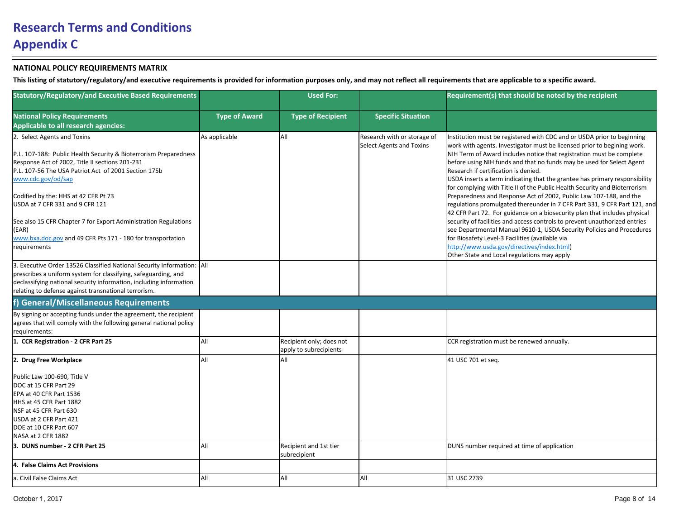| <b>Statutory/Regulatory/and Executive Based Requirements</b>                                                                                                                                                                                                                                                |                      | <b>Used For:</b>                                   |                                                                | Requirement(s) that should be noted by the recipient                                                                                                                                                                                                                                                                                                                                                                                                                                                                                                                                                                                                      |
|-------------------------------------------------------------------------------------------------------------------------------------------------------------------------------------------------------------------------------------------------------------------------------------------------------------|----------------------|----------------------------------------------------|----------------------------------------------------------------|-----------------------------------------------------------------------------------------------------------------------------------------------------------------------------------------------------------------------------------------------------------------------------------------------------------------------------------------------------------------------------------------------------------------------------------------------------------------------------------------------------------------------------------------------------------------------------------------------------------------------------------------------------------|
| <b>National Policy Requirements</b><br><b>Applicable to all research agencies:</b>                                                                                                                                                                                                                          | <b>Type of Award</b> | <b>Type of Recipient</b>                           | <b>Specific Situation</b>                                      |                                                                                                                                                                                                                                                                                                                                                                                                                                                                                                                                                                                                                                                           |
| 2. Select Agents and Toxins<br>P.L. 107-188: Public Health Security & Bioterrorism Preparedness<br>Response Act of 2002, Title II sections 201-231<br>P.L. 107-56 The USA Patriot Act of 2001 Section 175b<br>www.cdc.gov/od/sap<br>Codified by the: HHS at 42 CFR Pt 73<br>USDA at 7 CFR 331 and 9 CFR 121 | As applicable        | All                                                | Research with or storage of<br><b>Select Agents and Toxins</b> | Institution must be registered with CDC and or USDA prior to beginning<br>work with agents. Investigator must be licensed prior to begining work.<br>NIH Term of Award includes notice that registration must be complete<br>before using NIH funds and that no funds may be used for Select Agent<br>Research if certification is denied.<br>USDA inserts a term indicating that the grantee has primary responsibility<br>for complying with Title II of the Public Health Security and Bioterrorism<br>Preparedness and Response Act of 2002, Public Law 107-188, and the<br>regulations promulgated thereunder in 7 CFR Part 331, 9 CFR Part 121, and |
| See also 15 CFR Chapter 7 for Export Administration Regulations<br>(EAR)<br>www.bxa.doc.gov and 49 CFR Pts 171 - 180 for transportation<br>requirements                                                                                                                                                     |                      |                                                    |                                                                | 42 CFR Part 72. For guidance on a biosecurity plan that includes physical<br>security of facilities and access controls to prevent unauthorized entries<br>see Departmental Manual 9610-1, USDA Security Policies and Procedures<br>for Biosafety Level-3 Facilities (available via<br>http://www.usda.gov/directives/index.html)<br>Other State and Local regulations may apply                                                                                                                                                                                                                                                                          |
| 3. Executive Order 13526 Classified National Security Information:   All<br>prescribes a uniform system for classifying, safeguarding, and<br>declassifying national security information, including information<br>relating to defense against transnational terrorism.                                    |                      |                                                    |                                                                |                                                                                                                                                                                                                                                                                                                                                                                                                                                                                                                                                                                                                                                           |
| <b>General/Miscellaneous Requirements</b>                                                                                                                                                                                                                                                                   |                      |                                                    |                                                                |                                                                                                                                                                                                                                                                                                                                                                                                                                                                                                                                                                                                                                                           |
| By signing or accepting funds under the agreement, the recipient<br>agrees that will comply with the following general national policy<br>requirements:                                                                                                                                                     |                      |                                                    |                                                                |                                                                                                                                                                                                                                                                                                                                                                                                                                                                                                                                                                                                                                                           |
| 1. CCR Registration - 2 CFR Part 25                                                                                                                                                                                                                                                                         | laii                 | Recipient only; does not<br>apply to subrecipients |                                                                | CCR registration must be renewed annually.                                                                                                                                                                                                                                                                                                                                                                                                                                                                                                                                                                                                                |
| 2. Drug Free Workplace                                                                                                                                                                                                                                                                                      | laii                 | All                                                |                                                                | 41 USC 701 et seq.                                                                                                                                                                                                                                                                                                                                                                                                                                                                                                                                                                                                                                        |
| Public Law 100-690, Title V<br>DOC at 15 CFR Part 29<br>EPA at 40 CFR Part 1536<br>HHS at 45 CFR Part 1882<br>NSF at 45 CFR Part 630<br>USDA at 2 CFR Part 421<br>DOE at 10 CFR Part 607<br>NASA at 2 CFR 1882                                                                                              |                      |                                                    |                                                                |                                                                                                                                                                                                                                                                                                                                                                                                                                                                                                                                                                                                                                                           |
| 3. DUNS number - 2 CFR Part 25                                                                                                                                                                                                                                                                              | laii                 | Recipient and 1st tier                             |                                                                | DUNS number required at time of application                                                                                                                                                                                                                                                                                                                                                                                                                                                                                                                                                                                                               |
| 4. False Claims Act Provisions                                                                                                                                                                                                                                                                              |                      | subrecipient                                       |                                                                |                                                                                                                                                                                                                                                                                                                                                                                                                                                                                                                                                                                                                                                           |
| a. Civil False Claims Act                                                                                                                                                                                                                                                                                   | laii                 | All                                                | All                                                            | 31 USC 2739                                                                                                                                                                                                                                                                                                                                                                                                                                                                                                                                                                                                                                               |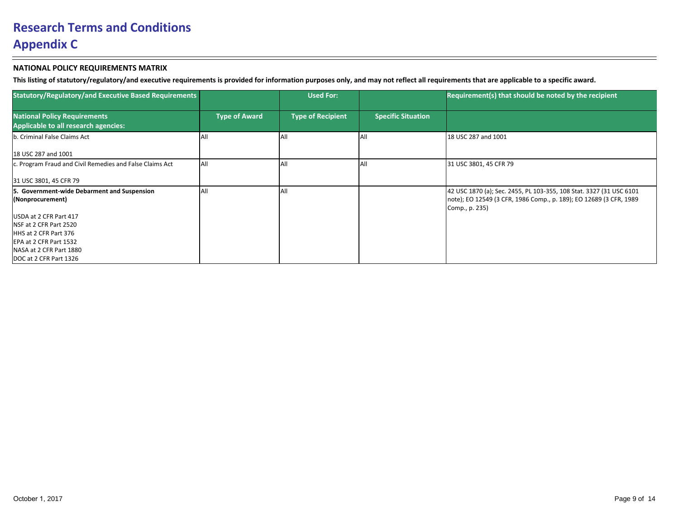| <b>Statutory/Regulatory/and Executive Based Requirements</b>                                                                                              |                      | <b>Used For:</b>         |                           | Requirement(s) that should be noted by the recipient                                                                                                         |
|-----------------------------------------------------------------------------------------------------------------------------------------------------------|----------------------|--------------------------|---------------------------|--------------------------------------------------------------------------------------------------------------------------------------------------------------|
| <b>National Policy Requirements</b><br>Applicable to all research agencies:                                                                               | <b>Type of Award</b> | <b>Type of Recipient</b> | <b>Specific Situation</b> |                                                                                                                                                              |
| b. Criminal False Claims Act                                                                                                                              | ΙAΙΙ                 | All                      | lAl                       | 18 USC 287 and 1001                                                                                                                                          |
| 18 USC 287 and 1001                                                                                                                                       |                      |                          |                           |                                                                                                                                                              |
| c. Program Fraud and Civil Remedies and False Claims Act                                                                                                  | All                  | <b>AI</b>                | IAI                       | 31 USC 3801, 45 CFR 79                                                                                                                                       |
| 31 USC 3801, 45 CFR 79                                                                                                                                    |                      |                          |                           |                                                                                                                                                              |
| 5. Government-wide Debarment and Suspension<br>(Nonprocurement)                                                                                           | All                  | All                      |                           | 42 USC 1870 (a); Sec. 2455, PL 103-355, 108 Stat. 3327 (31 USC 6101<br> note); EO 12549 (3 CFR, 1986 Comp., p. 189); EO 12689 (3 CFR, 1989<br>Comp., p. 235) |
| USDA at 2 CFR Part 417<br>INSF at 2 CFR Part 2520<br>HHS at 2 CFR Part 376<br>EPA at 2 CFR Part 1532<br>NASA at 2 CFR Part 1880<br>DOC at 2 CFR Part 1326 |                      |                          |                           |                                                                                                                                                              |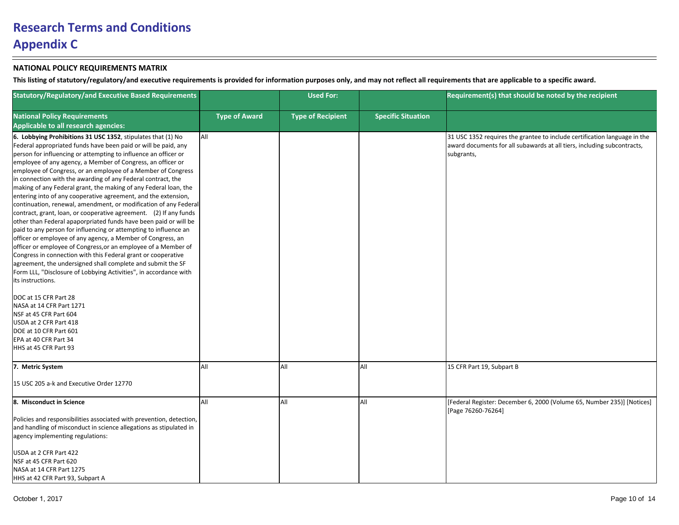| <b>Statutory/Regulatory/and Executive Based Requirements</b>                                                                                                                                                                                                                                                                                                                                                                                                                                                                                                                                                                                                                                                                                                                                                                                                                                                                                                                                                                                                                                                                                                                                                                                                                                                                                                            |                      | <b>Used For:</b>         |                           | Requirement(s) that should be noted by the recipient                                                                                                               |
|-------------------------------------------------------------------------------------------------------------------------------------------------------------------------------------------------------------------------------------------------------------------------------------------------------------------------------------------------------------------------------------------------------------------------------------------------------------------------------------------------------------------------------------------------------------------------------------------------------------------------------------------------------------------------------------------------------------------------------------------------------------------------------------------------------------------------------------------------------------------------------------------------------------------------------------------------------------------------------------------------------------------------------------------------------------------------------------------------------------------------------------------------------------------------------------------------------------------------------------------------------------------------------------------------------------------------------------------------------------------------|----------------------|--------------------------|---------------------------|--------------------------------------------------------------------------------------------------------------------------------------------------------------------|
| <b>National Policy Requirements</b><br>Applicable to all research agencies:                                                                                                                                                                                                                                                                                                                                                                                                                                                                                                                                                                                                                                                                                                                                                                                                                                                                                                                                                                                                                                                                                                                                                                                                                                                                                             | <b>Type of Award</b> | <b>Type of Recipient</b> | <b>Specific Situation</b> |                                                                                                                                                                    |
| 6. Lobbying Prohibitions 31 USC 1352, stipulates that (1) No<br>Federal appropriated funds have been paid or will be paid, any<br>person for influencing or attempting to influence an officer or<br>employee of any agency, a Member of Congress, an officer or<br>employee of Congress, or an employee of a Member of Congress<br>in connection with the awarding of any Federal contract, the<br>making of any Federal grant, the making of any Federal loan, the<br>entering into of any cooperative agreement, and the extension,<br>continuation, renewal, amendment, or modification of any Federal<br>contract, grant, loan, or cooperative agreement. (2) If any funds<br>other than Federal apaporpriated funds have been paid or will be<br>paid to any person for influencing or attempting to influence an<br>officer or employee of any agency, a Member of Congress, an<br>officer or employee of Congress, or an employee of a Member of<br>Congress in connection with this Federal grant or cooperative<br>agreement, the undersigned shall complete and submit the SF<br>Form LLL, "Disclosure of Lobbying Activities", in accordance with<br>its instructions.<br>DOC at 15 CFR Part 28<br>NASA at 14 CFR Part 1271<br>NSF at 45 CFR Part 604<br>USDA at 2 CFR Part 418<br>DOE at 10 CFR Part 601<br>EPA at 40 CFR Part 34<br>HHS at 45 CFR Part 93 | laii                 |                          |                           | 31 USC 1352 requires the grantee to include certification language in the<br>award documents for all subawards at all tiers, including subcontracts,<br>subgrants, |
| 7. Metric System                                                                                                                                                                                                                                                                                                                                                                                                                                                                                                                                                                                                                                                                                                                                                                                                                                                                                                                                                                                                                                                                                                                                                                                                                                                                                                                                                        | laii                 | All                      | All                       | 15 CFR Part 19, Subpart B                                                                                                                                          |
| 15 USC 205 a-k and Executive Order 12770                                                                                                                                                                                                                                                                                                                                                                                                                                                                                                                                                                                                                                                                                                                                                                                                                                                                                                                                                                                                                                                                                                                                                                                                                                                                                                                                |                      |                          |                           |                                                                                                                                                                    |
| 8. Misconduct in Science<br>Policies and responsibilities associated with prevention, detection,<br>and handling of misconduct in science allegations as stipulated in                                                                                                                                                                                                                                                                                                                                                                                                                                                                                                                                                                                                                                                                                                                                                                                                                                                                                                                                                                                                                                                                                                                                                                                                  | laii                 | All                      | All                       | [Federal Register: December 6, 2000 (Volume 65, Number 235)] [Notices]<br>[Page 76260-76264]                                                                       |
| agency implementing regulations:                                                                                                                                                                                                                                                                                                                                                                                                                                                                                                                                                                                                                                                                                                                                                                                                                                                                                                                                                                                                                                                                                                                                                                                                                                                                                                                                        |                      |                          |                           |                                                                                                                                                                    |
| USDA at 2 CFR Part 422<br>NSF at 45 CFR Part 620<br>NASA at 14 CFR Part 1275<br>HHS at 42 CFR Part 93. Subpart A                                                                                                                                                                                                                                                                                                                                                                                                                                                                                                                                                                                                                                                                                                                                                                                                                                                                                                                                                                                                                                                                                                                                                                                                                                                        |                      |                          |                           |                                                                                                                                                                    |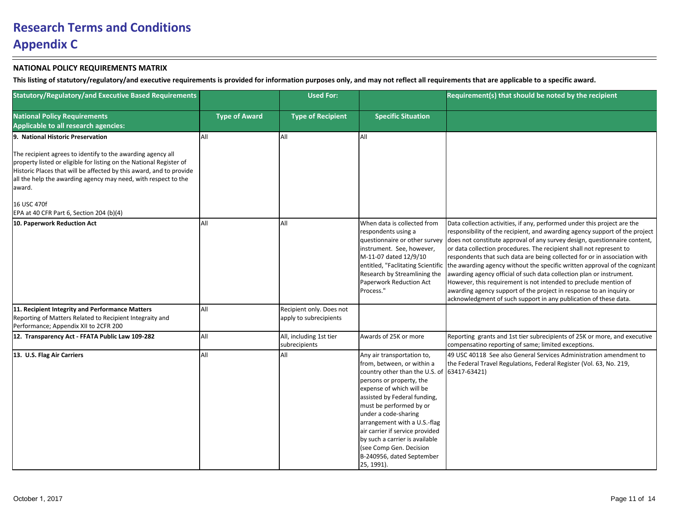| <b>Statutory/Regulatory/and Executive Based Requirements</b>                                                                                                                                                                                                                          |                      | <b>Used For:</b>                                   |                                                                                                                                                                                                                                                                                                                                                                                                                                  | Requirement(s) that should be noted by the recipient                                                                                                                                                                                                                                                                                                                                                                                                                                                                                                                                                                                                                                                                                                          |
|---------------------------------------------------------------------------------------------------------------------------------------------------------------------------------------------------------------------------------------------------------------------------------------|----------------------|----------------------------------------------------|----------------------------------------------------------------------------------------------------------------------------------------------------------------------------------------------------------------------------------------------------------------------------------------------------------------------------------------------------------------------------------------------------------------------------------|---------------------------------------------------------------------------------------------------------------------------------------------------------------------------------------------------------------------------------------------------------------------------------------------------------------------------------------------------------------------------------------------------------------------------------------------------------------------------------------------------------------------------------------------------------------------------------------------------------------------------------------------------------------------------------------------------------------------------------------------------------------|
| <b>National Policy Requirements</b><br>Applicable to all research agencies:                                                                                                                                                                                                           | <b>Type of Award</b> | <b>Type of Recipient</b>                           | <b>Specific Situation</b>                                                                                                                                                                                                                                                                                                                                                                                                        |                                                                                                                                                                                                                                                                                                                                                                                                                                                                                                                                                                                                                                                                                                                                                               |
| 9. National Historic Preservation                                                                                                                                                                                                                                                     | laii                 | All                                                | laii                                                                                                                                                                                                                                                                                                                                                                                                                             |                                                                                                                                                                                                                                                                                                                                                                                                                                                                                                                                                                                                                                                                                                                                                               |
| The recipient agrees to identify to the awarding agency all<br>property listed or eligible for listing on the National Register of<br>Historic Places that will be affected by this award, and to provide<br>all the help the awarding agency may need, with respect to the<br>award. |                      |                                                    |                                                                                                                                                                                                                                                                                                                                                                                                                                  |                                                                                                                                                                                                                                                                                                                                                                                                                                                                                                                                                                                                                                                                                                                                                               |
| 16 USC 470f<br>EPA at 40 CFR Part 6, Section 204 (b)(4)                                                                                                                                                                                                                               |                      |                                                    |                                                                                                                                                                                                                                                                                                                                                                                                                                  |                                                                                                                                                                                                                                                                                                                                                                                                                                                                                                                                                                                                                                                                                                                                                               |
| 10. Paperwork Reduction Act                                                                                                                                                                                                                                                           | laii                 | All                                                | When data is collected from<br>respondents using a<br>questionnaire or other survey<br>instrument. See, however,<br>M-11-07 dated 12/9/10<br>entitled, "Faclitating Scientific<br>Research by Streamlining the<br>Paperwork Reduction Act<br>Process."                                                                                                                                                                           | Data collection activities, if any, performed under this project are the<br>responsibility of the recipient, and awarding agency support of the project<br>does not constitute approval of any survey design, questionnaire content,<br>or data collection procedures. The recipient shall not represent to<br>respondents that such data are being collected for or in association with<br>the awarding agency without the specific written approval of the cognizant<br>awarding agency official of such data collection plan or instrument.<br>However, this requirement is not intended to preclude mention of<br>awarding agency support of the project in response to an inquiry or<br>acknowledgment of such support in any publication of these data. |
| 11. Recipient Integrity and Performance Matters<br>Reporting of Matters Related to Recipient Integraity and<br>Performance; Appendix XII to 2CFR 200                                                                                                                                  | All                  | Recipient only. Does not<br>apply to subrecipients |                                                                                                                                                                                                                                                                                                                                                                                                                                  |                                                                                                                                                                                                                                                                                                                                                                                                                                                                                                                                                                                                                                                                                                                                                               |
| 12. Transparency Act - FFATA Public Law 109-282                                                                                                                                                                                                                                       | laii                 | All, including 1st tier<br>subrecipients           | Awards of 25K or more                                                                                                                                                                                                                                                                                                                                                                                                            | Reporting grants and 1st tier subrecipients of 25K or more, and executive<br>compensatino reporting of same; limited exceptions.                                                                                                                                                                                                                                                                                                                                                                                                                                                                                                                                                                                                                              |
| 13. U.S. Flag Air Carriers                                                                                                                                                                                                                                                            | laii                 | All                                                | Any air transportation to,<br>from, between, or within a<br>country other than the U.S. of $(63417-63421)$<br>persons or property, the<br>expense of which will be<br>assisted by Federal funding,<br>must be performed by or<br>under a code-sharing<br>arrangement with a U.S.-flag<br>air carrier if service provided<br>by such a carrier is available<br>(see Comp Gen. Decision<br>B-240956, dated September<br>25, 1991). | 49 USC 40118 See also General Services Administration amendment to<br>the Federal Travel Regulations, Federal Register (Vol. 63, No. 219,                                                                                                                                                                                                                                                                                                                                                                                                                                                                                                                                                                                                                     |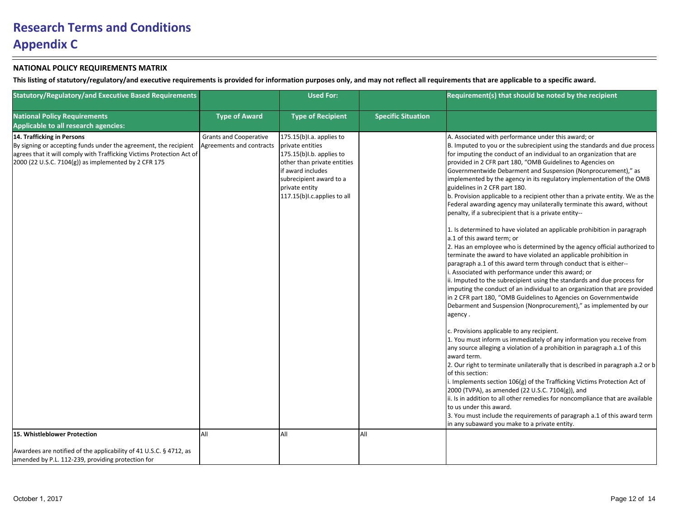| <b>Statutory/Regulatory/and Executive Based Requirements</b>                                                                                                                                                                    |                                                           | <b>Used For:</b>                                                                                                                                                                                              |                           | Requirement(s) that should be noted by the recipient                                                                                                                                                                                                                                                                                                                                                                                                                                                                                                                                                                                                                                                                                                                                                                                                                                                                                                                                                                                                                                                                                                                                                                                                                                                                                                                                                                                                                                                                                                                                                                                                                                                                                                                                                                                 |
|---------------------------------------------------------------------------------------------------------------------------------------------------------------------------------------------------------------------------------|-----------------------------------------------------------|---------------------------------------------------------------------------------------------------------------------------------------------------------------------------------------------------------------|---------------------------|--------------------------------------------------------------------------------------------------------------------------------------------------------------------------------------------------------------------------------------------------------------------------------------------------------------------------------------------------------------------------------------------------------------------------------------------------------------------------------------------------------------------------------------------------------------------------------------------------------------------------------------------------------------------------------------------------------------------------------------------------------------------------------------------------------------------------------------------------------------------------------------------------------------------------------------------------------------------------------------------------------------------------------------------------------------------------------------------------------------------------------------------------------------------------------------------------------------------------------------------------------------------------------------------------------------------------------------------------------------------------------------------------------------------------------------------------------------------------------------------------------------------------------------------------------------------------------------------------------------------------------------------------------------------------------------------------------------------------------------------------------------------------------------------------------------------------------------|
| <b>National Policy Requirements</b><br>Applicable to all research agencies:                                                                                                                                                     | <b>Type of Award</b>                                      | <b>Type of Recipient</b>                                                                                                                                                                                      | <b>Specific Situation</b> |                                                                                                                                                                                                                                                                                                                                                                                                                                                                                                                                                                                                                                                                                                                                                                                                                                                                                                                                                                                                                                                                                                                                                                                                                                                                                                                                                                                                                                                                                                                                                                                                                                                                                                                                                                                                                                      |
| 14. Trafficking in Persons<br>By signing or accepting funds under the agreement, the recipient<br>agrees that it will comply with Trafficking Victims Protection Act of<br>2000 (22 U.S.C. 7104(g)) as implemented by 2 CFR 175 | <b>Grants and Cooperative</b><br>Agreements and contracts | $175.15(b)$ l.a. applies to<br>private entities<br>175.15(b)I.b. applies to<br>other than private entities<br>if award includes<br>subrecipient award to a<br>private entity<br>117.15(b) I.c. applies to all |                           | A. Associated with performance under this award; or<br>B. Imputed to you or the subrecipient using the standards and due process<br>for imputing the conduct of an individual to an organization that are<br>provided in 2 CFR part 180, "OMB Guidelines to Agencies on<br>Governmentwide Debarment and Suspension (Nonprocurement)," as<br>implemented by the agency in its regulatory implementation of the OMB<br>guidelines in 2 CFR part 180.<br>b. Provision applicable to a recipient other than a private entity. We as the<br>Federal awarding agency may unilaterally terminate this award, without<br>penalty, if a subrecipient that is a private entity--<br>1. Is determined to have violated an applicable prohibition in paragraph<br>a.1 of this award term; or<br>2. Has an employee who is determined by the agency official authorized to<br>terminate the award to have violated an applicable prohibition in<br>paragraph a.1 of this award term through conduct that is either--<br>. Associated with performance under this award; or<br>ii. Imputed to the subrecipient using the standards and due process for<br>imputing the conduct of an individual to an organization that are provided<br>in 2 CFR part 180, "OMB Guidelines to Agencies on Governmentwide<br>Debarment and Suspension (Nonprocurement)," as implemented by our<br>agency.<br>c. Provisions applicable to any recipient.<br>1. You must inform us immediately of any information you receive from<br>any source alleging a violation of a prohibition in paragraph a.1 of this<br>award term.<br>2. Our right to terminate unilaterally that is described in paragraph a.2 or b<br>of this section:<br>i. Implements section 106(g) of the Trafficking Victims Protection Act of<br>2000 (TVPA), as amended (22 U.S.C. 7104(g)), and |
|                                                                                                                                                                                                                                 |                                                           |                                                                                                                                                                                                               |                           | ii. Is in addition to all other remedies for noncompliance that are available<br>to us under this award.<br>3. You must include the requirements of paragraph a.1 of this award term<br>in any subaward you make to a private entity.                                                                                                                                                                                                                                                                                                                                                                                                                                                                                                                                                                                                                                                                                                                                                                                                                                                                                                                                                                                                                                                                                                                                                                                                                                                                                                                                                                                                                                                                                                                                                                                                |
| 15. Whistleblower Protection                                                                                                                                                                                                    | laii                                                      | All                                                                                                                                                                                                           | All                       |                                                                                                                                                                                                                                                                                                                                                                                                                                                                                                                                                                                                                                                                                                                                                                                                                                                                                                                                                                                                                                                                                                                                                                                                                                                                                                                                                                                                                                                                                                                                                                                                                                                                                                                                                                                                                                      |
| Awardees are notified of the applicability of 41 U.S.C. § 4712, as<br>amended by P.L. 112-239, providing protection for                                                                                                         |                                                           |                                                                                                                                                                                                               |                           |                                                                                                                                                                                                                                                                                                                                                                                                                                                                                                                                                                                                                                                                                                                                                                                                                                                                                                                                                                                                                                                                                                                                                                                                                                                                                                                                                                                                                                                                                                                                                                                                                                                                                                                                                                                                                                      |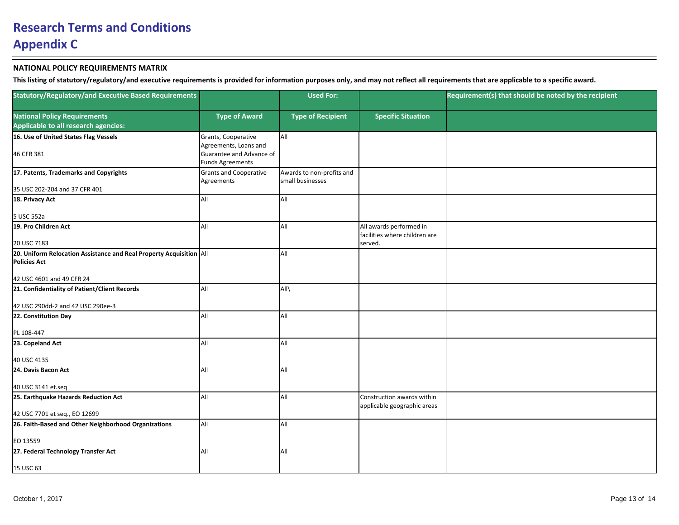| <b>Statutory/Regulatory/and Executive Based Requirements</b>                               |                                              | <b>Used For:</b>                              |                                                                     | Requirement(s) that should be noted by the recipient |
|--------------------------------------------------------------------------------------------|----------------------------------------------|-----------------------------------------------|---------------------------------------------------------------------|------------------------------------------------------|
| <b>National Policy Requirements</b>                                                        | <b>Type of Award</b>                         | <b>Type of Recipient</b>                      | <b>Specific Situation</b>                                           |                                                      |
| Applicable to all research agencies:                                                       |                                              |                                               |                                                                     |                                                      |
| 16. Use of United States Flag Vessels                                                      | Grants, Cooperative<br>Agreements, Loans and | All                                           |                                                                     |                                                      |
| 46 CFR 381                                                                                 | Guarantee and Advance of<br>Funds Agreements |                                               |                                                                     |                                                      |
| 17. Patents, Trademarks and Copyrights                                                     | Grants and Cooperative<br>Agreements         | Awards to non-profits and<br>small businesses |                                                                     |                                                      |
| 35 USC 202-204 and 37 CFR 401                                                              |                                              |                                               |                                                                     |                                                      |
| 18. Privacy Act                                                                            | laii                                         | All                                           |                                                                     |                                                      |
| 5 USC 552a                                                                                 |                                              |                                               |                                                                     |                                                      |
| 19. Pro Children Act<br>20 USC 7183                                                        | laii                                         | All                                           | All awards performed in<br>facilities where children are<br>served. |                                                      |
|                                                                                            |                                              |                                               |                                                                     |                                                      |
| 20. Uniform Relocation Assistance and Real Property Acquisition All<br><b>Policies Act</b> |                                              | All                                           |                                                                     |                                                      |
| 42 USC 4601 and 49 CFR 24                                                                  |                                              |                                               |                                                                     |                                                      |
| 21. Confidentiality of Patient/Client Records                                              | laii                                         | All\                                          |                                                                     |                                                      |
| 42 USC 290dd-2 and 42 USC 290ee-3                                                          |                                              |                                               |                                                                     |                                                      |
| 22. Constitution Day                                                                       | laii                                         | All                                           |                                                                     |                                                      |
| PL 108-447                                                                                 |                                              |                                               |                                                                     |                                                      |
| 23. Copeland Act<br>40 USC 4135                                                            | <b>JAII</b>                                  | All                                           |                                                                     |                                                      |
|                                                                                            |                                              |                                               |                                                                     |                                                      |
| 24. Davis Bacon Act                                                                        | <b>JAII</b>                                  | All                                           |                                                                     |                                                      |
| 40 USC 3141 et.seq                                                                         |                                              |                                               |                                                                     |                                                      |
| 25. Earthquake Hazards Reduction Act                                                       | laii                                         | All                                           | Construction awards within<br>applicable geographic areas           |                                                      |
| 42 USC 7701 et seq., EO 12699                                                              |                                              |                                               |                                                                     |                                                      |
| 26. Faith-Based and Other Neighborhood Organizations                                       | <b>AII</b>                                   | All                                           |                                                                     |                                                      |
| EO 13559                                                                                   |                                              |                                               |                                                                     |                                                      |
| 27. Federal Technology Transfer Act                                                        | <b>AII</b>                                   | All                                           |                                                                     |                                                      |
| 15 USC 63                                                                                  |                                              |                                               |                                                                     |                                                      |